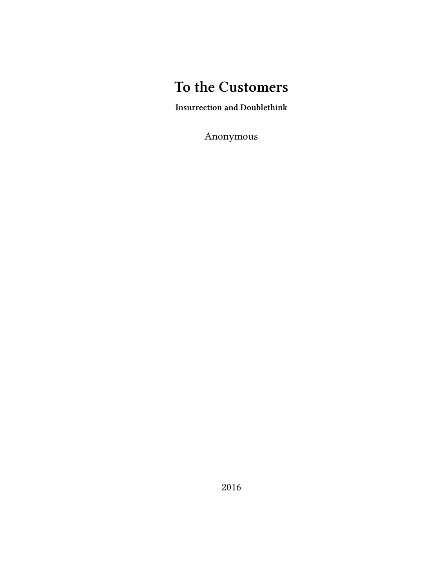# **To the Customers**

**Insurrection and Doublethink**

Anonymous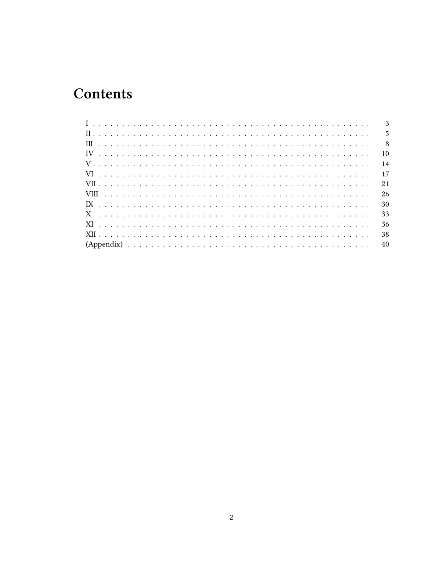## Contents

|  |  |  |  |  |  |  |  |  |  |  |  |  |  |  |  |  |  |  |  |  |  |  | 3              |
|--|--|--|--|--|--|--|--|--|--|--|--|--|--|--|--|--|--|--|--|--|--|--|----------------|
|  |  |  |  |  |  |  |  |  |  |  |  |  |  |  |  |  |  |  |  |  |  |  | 5              |
|  |  |  |  |  |  |  |  |  |  |  |  |  |  |  |  |  |  |  |  |  |  |  | 8 <sup>8</sup> |
|  |  |  |  |  |  |  |  |  |  |  |  |  |  |  |  |  |  |  |  |  |  |  | 10             |
|  |  |  |  |  |  |  |  |  |  |  |  |  |  |  |  |  |  |  |  |  |  |  | 14             |
|  |  |  |  |  |  |  |  |  |  |  |  |  |  |  |  |  |  |  |  |  |  |  | 17             |
|  |  |  |  |  |  |  |  |  |  |  |  |  |  |  |  |  |  |  |  |  |  |  | 21             |
|  |  |  |  |  |  |  |  |  |  |  |  |  |  |  |  |  |  |  |  |  |  |  | 26             |
|  |  |  |  |  |  |  |  |  |  |  |  |  |  |  |  |  |  |  |  |  |  |  | 30             |
|  |  |  |  |  |  |  |  |  |  |  |  |  |  |  |  |  |  |  |  |  |  |  | 33             |
|  |  |  |  |  |  |  |  |  |  |  |  |  |  |  |  |  |  |  |  |  |  |  | 36             |
|  |  |  |  |  |  |  |  |  |  |  |  |  |  |  |  |  |  |  |  |  |  |  | 38             |
|  |  |  |  |  |  |  |  |  |  |  |  |  |  |  |  |  |  |  |  |  |  |  |                |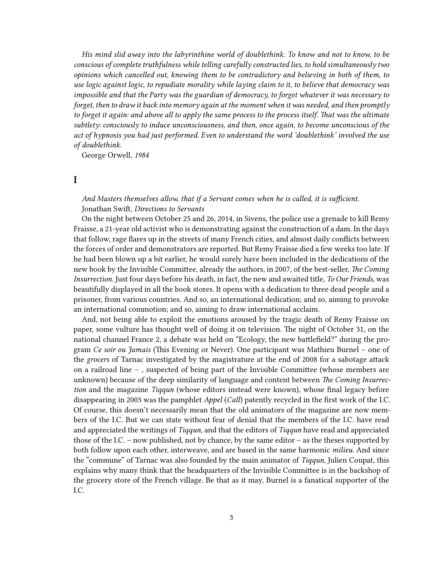*His mind slid away into the labyrinthine world of doublethink. To know and not to know, to be conscious of complete truthfulness while telling carefully constructed lies, to hold simultaneously two opinions which cancelled out, knowing them to be contradictory and believing in both of them, to use logic against logic, to repudiate morality while laying claim to it, to believe that democracy was impossible and that the Party was the guardian of democracy, to forget whatever it was necessary to forget, then to draw it back into memory again at the moment when it was needed, and then promptly to forget it again: and above all to apply the same process to the process itself. That was the ultimate subtlety: consciously to induce unconsciousness, and then, once again, to become unconscious of the act of hypnosis you had just performed. Even to understand the word 'doublethink' involved the use of doublethink.*

George Orwell, *1984*

<span id="page-2-0"></span>**I**

*And Masters themselves allow, that if a Servant comes when he is called, it is sufficient.* Jonathan Swift, *Directions to Servants*

On the night between October 25 and 26, 2014, in Sivens, the police use a grenade to kill Remy Fraisse, a 21-year old activist who is demonstrating against the construction of a dam. In the days that follow, rage flares up in the streets of many French cities, and almost daily conflicts between the forces of order and demonstrators are reported. But Remy Fraisse died a few weeks too late. If he had been blown up a bit earlier, he would surely have been included in the dedications of the new book by the Invisible Committee, already the authors, in 2007, of the best-seller, *The Coming Insurrection*. Just four days before his death, in fact, the new and awaited title, *To Our Friends*, was beautifully displayed in all the book stores. It opens with a dedication to three dead people and a prisoner, from various countries. And so, an international dedication; and so, aiming to provoke an international commotion; and so, aiming to draw international acclaim.

And, not being able to exploit the emotions aroused by the tragic death of Remy Fraisse on paper, some vulture has thought well of doing it on television. The night of October 31, on the national channel France 2, a debate was held on "Ecology, the new battlefield?" during the program *Ce soir ou Jamais* (This Evening or Never). One participant was Mathieu Burnel – one of the *grocers* of Tarnac investigated by the magistrature at the end of 2008 for a sabotage attack on a railroad line – , suspected of being part of the Invisible Committee (whose members are unknown) because of the deep similarity of language and content between *The Coming Insurrection* and the magazine *Tiqqun* (whose editors instead were known), whose final legacy before disappearing in 2003 was the pamphlet *Appel* (*Call*) patently recycled in the first work of the I.C. Of course, this doesn't necessarily mean that the old animators of the magazine are now members of the I.C. But we can state without fear of denial that the members of the I.C. have read and appreciated the writings of *Tiqqun*, and that the editors of *Tiqqun* have read and appreciated those of the I.C. – now published, not by chance, by the same editor – as the theses supported by both follow upon each other, interweave, and are based in the same harmonic *milieu*. And since the "commune" of Tarnac was also founded by the main animator of *Tiqqun*, Julien Coupat, this explains why many think that the headquarters of the Invisible Committee is in the backshop of the grocery store of the French village. Be that as it may, Burnel is a fanatical supporter of the I.C.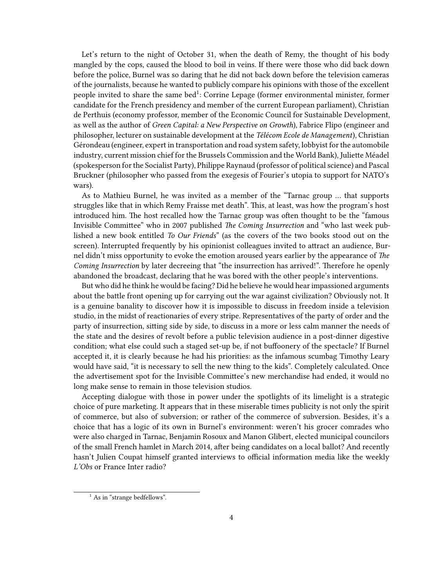Let's return to the night of October 31, when the death of Remy, the thought of his body mangled by the cops, caused the blood to boil in veins. If there were those who did back down before the police, Burnel was so daring that he did not back down before the television cameras of the journalists, because he wanted to publicly compare his opinions with those of the excellent people invited to share the same bed<sup>1</sup>: Corrine Lepage (former environmental minister, former candidate for the French presidency and member of the current European parliament), Christian de Perthuis (economy professor, member of the Economic Council for Sustainable Development, as well as the author of *Green Capital: a New Perspective on Growth*), Fabrice Flipo (engineer and philosopher, lecturer on sustainable development at the *Télécom Ecole de Management*), Christian Gérondeau (engineer, expert in transportation and road system safety, lobbyist for the automobile industry, current mission chief for the Brussels Commission and the World Bank), Juliette Méadel (spokesperson for the Socialist Party), Philippe Raynaud (professor of political science) and Pascal Bruckner (philosopher who passed from the exegesis of Fourier's utopia to support for NATO's wars).

As to Mathieu Burnel, he was invited as a member of the "Tarnac group … that supports struggles like that in which Remy Fraisse met death". This, at least, was how the program's host introduced him. The host recalled how the Tarnac group was often thought to be the "famous Invisible Committee" who in 2007 published *The Coming Insurrection* and "who last week published a new book entitled *To Our Friends*" (as the covers of the two books stood out on the screen). Interrupted frequently by his opinionist colleagues invited to attract an audience, Burnel didn't miss opportunity to evoke the emotion aroused years earlier by the appearance of *The Coming Insurrection* by later decreeing that "the insurrection has arrived!". Therefore he openly abandoned the broadcast, declaring that he was bored with the other people's interventions.

But who did he think he would be facing? Did he believe he would hear impassioned arguments about the battle front opening up for carrying out the war against civilization? Obviously not. It is a genuine banality to discover how it is impossible to discuss in freedom inside a television studio, in the midst of reactionaries of every stripe. Representatives of the party of order and the party of insurrection, sitting side by side, to discuss in a more or less calm manner the needs of the state and the desires of revolt before a public television audience in a post-dinner digestive condition; what else could such a staged set-up be, if not buffoonery of the spectacle? If Burnel accepted it, it is clearly because he had his priorities: as the infamous scumbag Timothy Leary would have said, "it is necessary to sell the new thing to the kids". Completely calculated. Once the advertisement spot for the Invisible Committee's new merchandise had ended, it would no long make sense to remain in those television studios.

Accepting dialogue with those in power under the spotlights of its limelight is a strategic choice of pure marketing. It appears that in these miserable times publicity is not only the spirit of commerce, but also of subversion; or rather of the commerce of subversion. Besides, it's a choice that has a logic of its own in Burnel's environment: weren't his grocer comrades who were also charged in Tarnac, Benjamin Rosoux and Manon Glibert, elected municipal councilors of the small French hamlet in March 2014, after being candidates on a local ballot? And recently hasn't Julien Coupat himself granted interviews to official information media like the weekly *L'Obs* or France Inter radio?

 $<sup>1</sup>$  As in "strange bedfellows".</sup>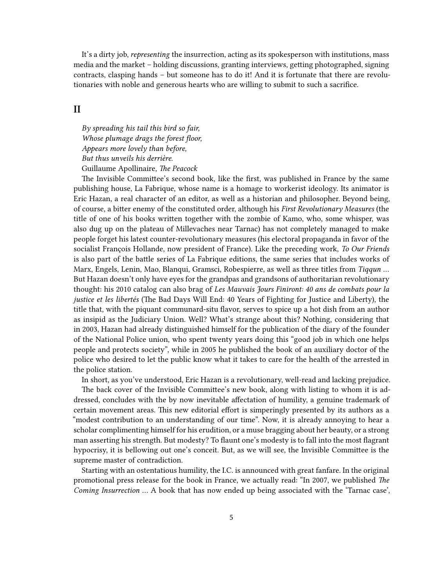It's a dirty job, *representing* the insurrection, acting as its spokesperson with institutions, mass media and the market – holding discussions, granting interviews, getting photographed, signing contracts, clasping hands – but someone has to do it! And it is fortunate that there are revolutionaries with noble and generous hearts who are willing to submit to such a sacrifice.

### <span id="page-4-0"></span>**II**

*By spreading his tail this bird so fair, Whose plumage drags the forest floor, Appears more lovely than before, But thus unveils his derrière.* Guillaume Apollinaire, *The Peacock*

The Invisible Committee's second book, like the first, was published in France by the same publishing house, La Fabrique, whose name is a homage to workerist ideology. Its animator is Eric Hazan, a real character of an editor, as well as a historian and philosopher. Beyond being, of course, a bitter enemy of the constituted order, although his *First Revolutionary Measures* (the title of one of his books written together with the zombie of Kamo, who, some whisper, was also dug up on the plateau of Millevaches near Tarnac) has not completely managed to make people forget his latest counter-revolutionary measures (his electoral propaganda in favor of the socialist François Hollande, now president of France). Like the preceding work, *To Our Friends* is also part of the battle series of La Fabrique editions, the same series that includes works of Marx, Engels, Lenin, Mao, Blanqui, Gramsci, Robespierre, as well as three titles from *Tiqqun …* But Hazan doesn't only have eyes for the grandpas and grandsons of authoritarian revolutionary thought: his 2010 catalog can also brag of *Les Mauvais Jours Finiront: 40 ans de combats pour la justice et les libertés* (The Bad Days Will End: 40 Years of Fighting for Justice and Liberty), the title that, with the piquant communard-situ flavor, serves to spice up a hot dish from an author as insipid as the Judiciary Union. Well? What's strange about this? Nothing, considering that in 2003, Hazan had already distinguished himself for the publication of the diary of the founder of the National Police union, who spent twenty years doing this "good job in which one helps people and protects society", while in 2005 he published the book of an auxiliary doctor of the police who desired to let the public know what it takes to care for the health of the arrested in the police station.

In short, as you've understood, Eric Hazan is a revolutionary, well-read and lacking prejudice. The back cover of the Invisible Committee's new book, along with listing to whom it is addressed, concludes with the by now inevitable affectation of humility, a genuine trademark of certain movement areas. This new editorial effort is simperingly presented by its authors as a "modest contribution to an understanding of our time". Now, it is already annoying to hear a scholar complimenting himself for his erudition, or a muse bragging about her beauty, or a strong man asserting his strength. But modesty? To flaunt one's modesty is to fall into the most flagrant hypocrisy, it is bellowing out one's conceit. But, as we will see, the Invisible Committee is the supreme master of contradiction.

Starting with an ostentatious humility, the I.C. is announced with great fanfare. In the original promotional press release for the book in France, we actually read: "In 2007, we published *The Coming Insurrection …* A book that has now ended up being associated with the 'Tarnac case',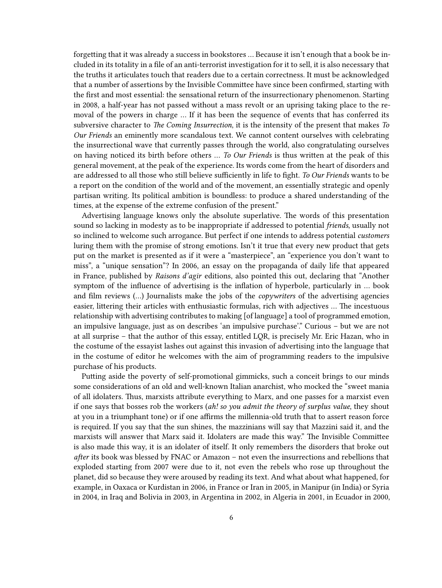forgetting that it was already a success in bookstores … Because it isn't enough that a book be included in its totality in a file of an anti-terrorist investigation for it to sell, it is also necessary that the truths it articulates touch that readers due to a certain correctness. It must be acknowledged that a number of assertions by the Invisible Committee have since been confirmed, starting with the first and most essential: the sensational return of the insurrectionary phenomenon. Starting in 2008, a half-year has not passed without a mass revolt or an uprising taking place to the removal of the powers in charge … If it has been the sequence of events that has conferred its subversive character to *The Coming Insurrection*, it is the intensity of the present that makes *To Our Friends* an eminently more scandalous text. We cannot content ourselves with celebrating the insurrectional wave that currently passes through the world, also congratulating ourselves on having noticed its birth before others … *To Our Friends* is thus written at the peak of this general movement, at the peak of the experience. Its words come from the heart of disorders and are addressed to all those who still believe sufficiently in life to fight. *To Our Friends* wants to be a report on the condition of the world and of the movement, an essentially strategic and openly partisan writing. Its political ambition is boundless: to produce a shared understanding of the times, at the expense of the extreme confusion of the present."

Advertising language knows only the absolute superlative. The words of this presentation sound so lacking in modesty as to be inappropriate if addressed to potential *friends*, usually not so inclined to welcome such arrogance. But perfect if one intends to address potential *customers* luring them with the promise of strong emotions. Isn't it true that every new product that gets put on the market is presented as if it were a "masterpiece", an "experience you don't want to miss", a "unique sensation"? In 2006, an essay on the propaganda of daily life that appeared in France, published by *Raisons d'agir* editions, also pointed this out, declaring that "Another symptom of the influence of advertising is the inflation of hyperbole, particularly in … book and film reviews (…) Journalists make the jobs of the *copywriters* of the advertising agencies easier, littering their articles with enthusiastic formulas, rich with adjectives … The incestuous relationship with advertising contributes to making [of language] a tool of programmed emotion, an impulsive language, just as on describes 'an impulsive purchase'." Curious – but we are not at all surprise – that the author of this essay, entitled LQR, is precisely Mr. Eric Hazan, who in the costume of the essayist lashes out against this invasion of advertising into the language that in the costume of editor he welcomes with the aim of programming readers to the impulsive purchase of his products.

Putting aside the poverty of self-promotional gimmicks, such a conceit brings to our minds some considerations of an old and well-known Italian anarchist, who mocked the "sweet mania of all idolaters. Thus, marxists attribute everything to Marx, and one passes for a marxist even if one says that bosses rob the workers (*ah! so you admit the theory of surplus value*, they shout at you in a triumphant tone) or if one affirms the millennia-old truth that to assert reason force is required. If you say that the sun shines, the mazzinians will say that Mazzini said it, and the marxists will answer that Marx said it. Idolaters are made this way." The Invisible Committee is also made this way, it is an idolater of itself. It only remembers the disorders that broke out *after* its book was blessed by FNAC or Amazon – not even the insurrections and rebellions that exploded starting from 2007 were due to it, not even the rebels who rose up throughout the planet, did so because they were aroused by reading its text. And what about what happened, for example, in Oaxaca or Kurdistan in 2006, in France or Iran in 2005, in Manipur (in India) or Syria in 2004, in Iraq and Bolivia in 2003, in Argentina in 2002, in Algeria in 2001, in Ecuador in 2000,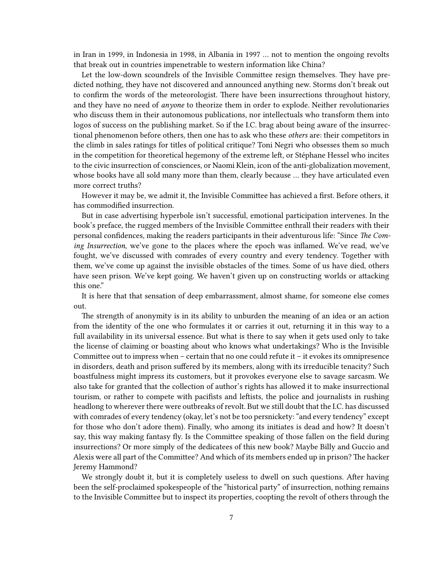in Iran in 1999, in Indonesia in 1998, in Albania in 1997 … not to mention the ongoing revolts that break out in countries impenetrable to western information like China?

Let the low-down scoundrels of the Invisible Committee resign themselves. They have predicted nothing, they have not discovered and announced anything new. Storms don't break out to confirm the words of the meteorologist. There have been insurrections throughout history, and they have no need of *anyone* to theorize them in order to explode. Neither revolutionaries who discuss them in their autonomous publications, nor intellectuals who transform them into logos of success on the publishing market. So if the I.C. brag about being aware of the insurrectional phenomenon before others, then one has to ask who these *others* are: their competitors in the climb in sales ratings for titles of political critique? Toni Negri who obsesses them so much in the competition for theoretical hegemony of the extreme left, or Stéphane Hessel who incites to the civic insurrection of consciences, or Naomi Klein, icon of the anti-globalization movement, whose books have all sold many more than them, clearly because … they have articulated even more correct truths?

However it may be, we admit it, the Invisible Committee has achieved a first. Before others, it has commodified insurrection.

But in case advertising hyperbole isn't successful, emotional participation intervenes. In the book's preface, the rugged members of the Invisible Committee enthrall their readers with their personal confidences, making the readers participants in their adventurous life: "Since *The Coming Insurrection*, we've gone to the places where the epoch was inflamed. We've read, we've fought, we've discussed with comrades of every country and every tendency. Together with them, we've come up against the invisible obstacles of the times. Some of us have died, others have seen prison. We've kept going. We haven't given up on constructing worlds or attacking this one."

It is here that that sensation of deep embarrassment, almost shame, for someone else comes out.

The strength of anonymity is in its ability to unburden the meaning of an idea or an action from the identity of the one who formulates it or carries it out, returning it in this way to a full availability in its universal essence. But what is there to say when it gets used only to take the license of claiming or boasting about who knows what undertakings? Who is the Invisible Committee out to impress when – certain that no one could refute it – it evokes its omnipresence in disorders, death and prison suffered by its members, along with its irreducible tenacity? Such boastfulness might impress its customers, but it provokes everyone else to savage sarcasm. We also take for granted that the collection of author's rights has allowed it to make insurrectional tourism, or rather to compete with pacifists and leftists, the police and journalists in rushing headlong to wherever there were outbreaks of revolt. But we still doubt that the I.C. has discussed with comrades of every tendency (okay, let's not be too persnickety: "and every tendency" except for those who don't adore them). Finally, who among its initiates is dead and how? It doesn't say, this way making fantasy fly. Is the Committee speaking of those fallen on the field during insurrections? Or more simply of the dedicatees of this new book? Maybe Billy and Guccio and Alexis were all part of the Committee? And which of its members ended up in prison? The hacker Jeremy Hammond?

We strongly doubt it, but it is completely useless to dwell on such questions. After having been the self-proclaimed spokespeople of the "historical party" of insurrection, nothing remains to the Invisible Committee but to inspect its properties, coopting the revolt of others through the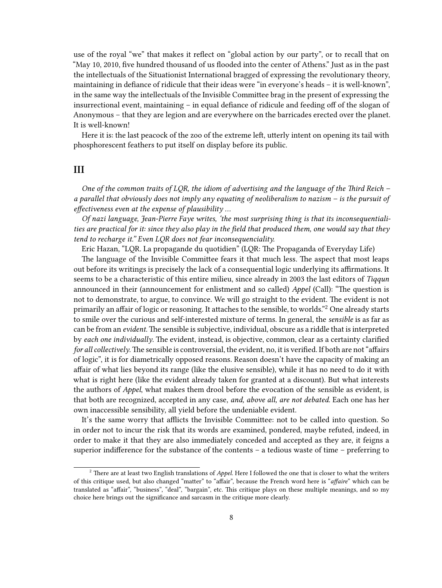use of the royal "we" that makes it reflect on "global action by our party", or to recall that on "May 10, 2010, five hundred thousand of us flooded into the center of Athens." Just as in the past the intellectuals of the Situationist International bragged of expressing the revolutionary theory, maintaining in defiance of ridicule that their ideas were "in everyone's heads – it is well-known", in the same way the intellectuals of the Invisible Committee brag in the present of expressing the insurrectional event, maintaining – in equal defiance of ridicule and feeding off of the slogan of Anonymous – that they are legion and are everywhere on the barricades erected over the planet. It is well-known!

Here it is: the last peacock of the zoo of the extreme left, utterly intent on opening its tail with phosphorescent feathers to put itself on display before its public.

### <span id="page-7-0"></span>**III**

*One of the common traits of LQR, the idiom of advertising and the language of the Third Reich – a parallel that obviously does not imply any equating of neoliberalism to nazism – is the pursuit of effectiveness even at the expense of plausibility …*

*Of nazi language, Jean-Pierre Faye writes, 'the most surprising thing is that its inconsequentialities are practical for it: since they also play in the field that produced them, one would say that they tend to recharge it." Even LQR does not fear inconsequenciality.*

Eric Hazan, "LQR. La propagande du quotidien" (LQR: The Propaganda of Everyday Life)

The language of the Invisible Committee fears it that much less. The aspect that most leaps out before its writings is precisely the lack of a consequential logic underlying its affirmations. It seems to be a characteristic of this entire milieu, since already in 2003 the last editors of *Tiqqun* announced in their (announcement for enlistment and so called) *Appel* (Call): "The question is not to demonstrate, to argue, to convince. We will go straight to the evident. The evident is not primarily an affair of logic or reasoning. It attaches to the sensible, to worlds."<sup>2</sup> One already starts to smile over the curious and self-interested mixture of terms. In general, the *sensible* is as far as can be from an *evident*. The sensible is subjective, individual, obscure as a riddle that is interpreted by *each one individually*. The evident, instead, is objective, common, clear as a certainty clarified *for all collectively*.The sensible is controversial, the evident, no, it is verified. If both are not "affairs of logic", it is for diametrically opposed reasons. Reason doesn't have the capacity of making an affair of what lies beyond its range (like the elusive sensible), while it has no need to do it with what is right here (like the evident already taken for granted at a discount). But what interests the authors of *Appel*, what makes them drool before the evocation of the sensible as evident, is that both are recognized, accepted in any case, *and, above all, are not debated*. Each one has her own inaccessible sensibility, all yield before the undeniable evident.

It's the same worry that afflicts the Invisible Committee: not to be called into question. So in order not to incur the risk that its words are examined, pondered, maybe refuted, indeed, in order to make it that they are also immediately conceded and accepted as they are, it feigns a superior indifference for the substance of the contents – a tedious waste of time – preferring to

<sup>2</sup> There are at least two English translations of *Appel*. Here I followed the one that is closer to what the writers of this critique used, but also changed "matter" to "affair", because the French word here is "*affaire*" which can be translated as "affair", "business", "deal", "bargain", etc. This critique plays on these multiple meanings, and so my choice here brings out the significance and sarcasm in the critique more clearly.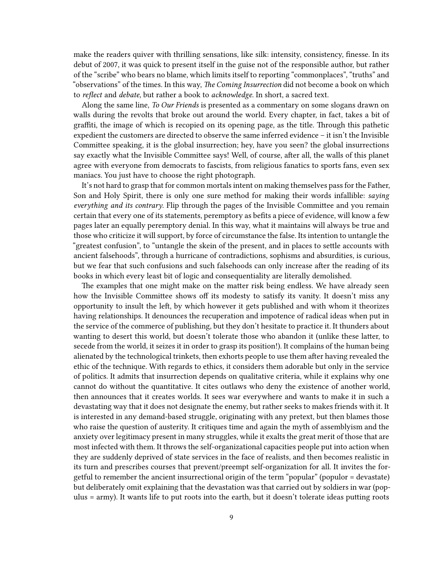make the readers quiver with thrilling sensations, like silk: intensity, consistency, finesse. In its debut of 2007, it was quick to present itself in the guise not of the responsible author, but rather of the "scribe" who bears no blame, which limits itself to reporting "commonplaces", "truths" and "observations" of the times. In this way, *The Coming Insurrection* did not become a book on which to *reflect* and *debate*, but rather a book to *acknowledge*. In short, a sacred text.

Along the same line, *To Our Friends* is presented as a commentary on some slogans drawn on walls during the revolts that broke out around the world. Every chapter, in fact, takes a bit of graffiti, the image of which is recopied on its opening page, as the title. Through this pathetic expedient the customers are directed to observe the same inferred evidence – it isn't the Invisible Committee speaking, it is the global insurrection; hey, have you seen? the global insurrections say exactly what the Invisible Committee says! Well, of course, after all, the walls of this planet agree with everyone from democrats to fascists, from religious fanatics to sports fans, even sex maniacs. You just have to choose the right photograph.

It's not hard to grasp that for common mortals intent on making themselves pass for the Father, Son and Holy Spirit, there is only one sure method for making their words infallible: *saying everything and its contrary*. Flip through the pages of the Invisible Committee and you remain certain that every one of its statements, peremptory as befits a piece of evidence, will know a few pages later an equally peremptory denial. In this way, what it maintains will always be true and those who criticize it will support, by force of circumstance the false. Its intention to untangle the "greatest confusion", to "untangle the skein of the present, and in places to settle accounts with ancient falsehoods", through a hurricane of contradictions, sophisms and absurdities, is curious, but we fear that such confusions and such falsehoods can only increase after the reading of its books in which every least bit of logic and consequentiality are literally demolished.

The examples that one might make on the matter risk being endless. We have already seen how the Invisible Committee shows off its modesty to satisfy its vanity. It doesn't miss any opportunity to insult the left, by which however it gets published and with whom it theorizes having relationships. It denounces the recuperation and impotence of radical ideas when put in the service of the commerce of publishing, but they don't hesitate to practice it. It thunders about wanting to desert this world, but doesn't tolerate those who abandon it (unlike these latter, to secede from the world, it seizes it in order to grasp its position!). It complains of the human being alienated by the technological trinkets, then exhorts people to use them after having revealed the ethic of the technique. With regards to ethics, it considers them adorable but only in the service of politics. It admits that insurrection depends on qualitative criteria, while it explains why one cannot do without the quantitative. It cites outlaws who deny the existence of another world, then announces that it creates worlds. It sees war everywhere and wants to make it in such a devastating way that it does not designate the enemy, but rather seeks to makes friends with it. It is interested in any demand-based struggle, originating with any pretext, but then blames those who raise the question of austerity. It critiques time and again the myth of assemblyism and the anxiety over legitimacy present in many struggles, while it exalts the great merit of those that are most infected with them. It throws the self-organizational capacities people put into action when they are suddenly deprived of state services in the face of realists, and then becomes realistic in its turn and prescribes courses that prevent/preempt self-organization for all. It invites the forgetful to remember the ancient insurrectional origin of the term "popular" (populor = devastate) but deliberately omit explaining that the devastation was that carried out by soldiers in war (populus = army). It wants life to put roots into the earth, but it doesn't tolerate ideas putting roots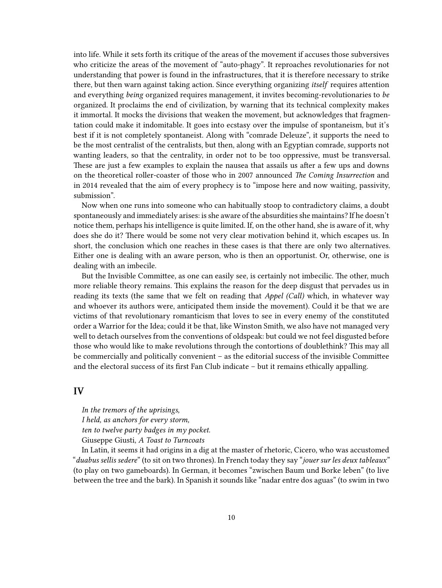into life. While it sets forth its critique of the areas of the movement if accuses those subversives who criticize the areas of the movement of "auto-phagy". It reproaches revolutionaries for not understanding that power is found in the infrastructures, that it is therefore necessary to strike there, but then warn against taking action. Since everything organizing *itself* requires attention and everything *being* organized requires management, it invites becoming-revolutionaries to *be* organized. It proclaims the end of civilization, by warning that its technical complexity makes it immortal. It mocks the divisions that weaken the movement, but acknowledges that fragmentation could make it indomitable. It goes into ecstasy over the impulse of spontaneism, but it's best if it is not completely spontaneist. Along with "comrade Deleuze", it supports the need to be the most centralist of the centralists, but then, along with an Egyptian comrade, supports not wanting leaders, so that the centrality, in order not to be too oppressive, must be transversal. These are just a few examples to explain the nausea that assails us after a few ups and downs on the theoretical roller-coaster of those who in 2007 announced *The Coming Insurrection* and in 2014 revealed that the aim of every prophecy is to "impose here and now waiting, passivity, submission".

Now when one runs into someone who can habitually stoop to contradictory claims, a doubt spontaneously and immediately arises: is she aware of the absurdities she maintains? If he doesn't notice them, perhaps his intelligence is quite limited. If, on the other hand, she is aware of it, why does she do it? There would be some not very clear motivation behind it, which escapes us. In short, the conclusion which one reaches in these cases is that there are only two alternatives. Either one is dealing with an aware person, who is then an opportunist. Or, otherwise, one is dealing with an imbecile.

But the Invisible Committee, as one can easily see, is certainly not imbecilic. The other, much more reliable theory remains. This explains the reason for the deep disgust that pervades us in reading its texts (the same that we felt on reading that *Appel (Call)* which, in whatever way and whoever its authors were, anticipated them inside the movement). Could it be that we are victims of that revolutionary romanticism that loves to see in every enemy of the constituted order a Warrior for the Idea; could it be that, like Winston Smith, we also have not managed very well to detach ourselves from the conventions of oldspeak: but could we not feel disgusted before those who would like to make revolutions through the contortions of doublethink? This may all be commercially and politically convenient – as the editorial success of the invisible Committee and the electoral success of its first Fan Club indicate – but it remains ethically appalling.

#### <span id="page-9-0"></span>**IV**

*In the tremors of the uprisings, I held, as anchors for every storm, ten to twelve party badges in my pocket.* Giuseppe Giusti, *A Toast to Turncoats*

In Latin, it seems it had origins in a dig at the master of rhetoric, Cicero, who was accustomed "*duabus sellis sedere*" (to sit on two thrones). In French today they say "*jouer sur les deux tableaux*" (to play on two gameboards). In German, it becomes "zwischen Baum und Borke leben" (to live between the tree and the bark). In Spanish it sounds like "nadar entre dos aguas" (to swim in two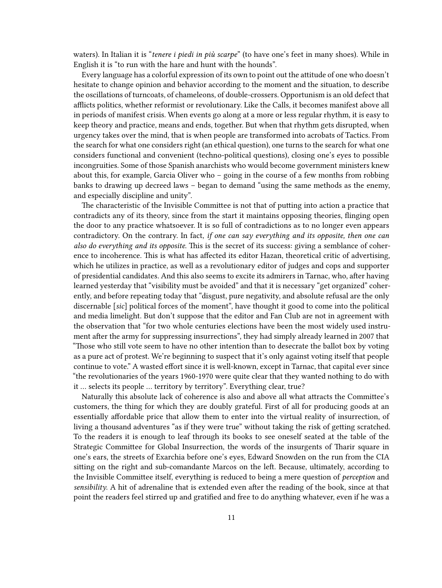waters). In Italian it is "*tenere i piedi in più scarpe*" (to have one's feet in many shoes). While in English it is "to run with the hare and hunt with the hounds".

Every language has a colorful expression of its own to point out the attitude of one who doesn't hesitate to change opinion and behavior according to the moment and the situation, to describe the oscillations of turncoats, of chameleons, of double-crossers. Opportunism is an old defect that afflicts politics, whether reformist or revolutionary. Like the Calls, it becomes manifest above all in periods of manifest crisis. When events go along at a more or less regular rhythm, it is easy to keep theory and practice, means and ends, together. But when that rhythm gets disrupted, when urgency takes over the mind, that is when people are transformed into acrobats of Tactics. From the search for what one considers right (an ethical question), one turns to the search for what one considers functional and convenient (techno-political questions), closing one's eyes to possible incongruities. Some of those Spanish anarchists who would become government ministers knew about this, for example, Garcia Oliver who – going in the course of a few months from robbing banks to drawing up decreed laws – began to demand "using the same methods as the enemy, and especially discipline and unity".

The characteristic of the Invisible Committee is not that of putting into action a practice that contradicts any of its theory, since from the start it maintains opposing theories, flinging open the door to any practice whatsoever. It is so full of contradictions as to no longer even appears contradictory. On the contrary. In fact, *if one can say everything and its opposite, then one can also do everything and its opposite*. This is the secret of its success: giving a semblance of coherence to incoherence. This is what has affected its editor Hazan, theoretical critic of advertising, which he utilizes in practice, as well as a revolutionary editor of judges and cops and supporter of presidential candidates. And this also seems to excite its admirers in Tarnac, who, after having learned yesterday that "visibility must be avoided" and that it is necessary "get organized" coherently, and before repeating today that "disgust, pure negativity, and absolute refusal are the only discernable [*sic*] political forces of the moment", have thought it good to come into the political and media limelight. But don't suppose that the editor and Fan Club are not in agreement with the observation that "for two whole centuries elections have been the most widely used instrument after the army for suppressing insurrections", they had simply already learned in 2007 that "Those who still vote seem to have no other intention than to desecrate the ballot box by voting as a pure act of protest. We're beginning to suspect that it's only against voting itself that people continue to vote." A wasted effort since it is well-known, except in Tarnac, that capital ever since "the revolutionaries of the years 1960-1970 were quite clear that they wanted nothing to do with it … selects its people … territory by territory". Everything clear, true?

Naturally this absolute lack of coherence is also and above all what attracts the Committee's customers, the thing for which they are doubly grateful. First of all for producing goods at an essentially affordable price that allow them to enter into the virtual reality of insurrection, of living a thousand adventures "as if they were true" without taking the risk of getting scratched. To the readers it is enough to leaf through its books to see oneself seated at the table of the Strategic Committee for Global Insurrection, the words of the insurgents of Tharir square in one's ears, the streets of Exarchia before one's eyes, Edward Snowden on the run from the CIA sitting on the right and sub-comandante Marcos on the left. Because, ultimately, according to the Invisible Committee itself, everything is reduced to being a mere question of *perception* and *sensibility*. A hit of adrenaline that is extended even after the reading of the book, since at that point the readers feel stirred up and gratified and free to do anything whatever, even if he was a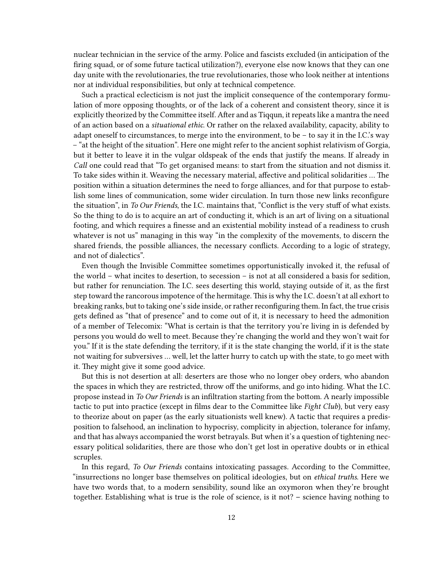nuclear technician in the service of the army. Police and fascists excluded (in anticipation of the firing squad, or of some future tactical utilization?), everyone else now knows that they can one day unite with the revolutionaries, the true revolutionaries, those who look neither at intentions nor at individual responsibilities, but only at technical competence.

Such a practical eclecticism is not just the implicit consequence of the contemporary formulation of more opposing thoughts, or of the lack of a coherent and consistent theory, since it is explicitly theorized by the Committee itself. After and as Tiqqun, it repeats like a mantra the need of an action based on a *situational ethic*. Or rather on the relaxed availability, capacity, ability to adapt oneself to circumstances, to merge into the environment, to be – to say it in the I.C.'s way – "at the height of the situation". Here one might refer to the ancient sophist relativism of Gorgia, but it better to leave it in the vulgar oldspeak of the ends that justify the means. If already in *Call* one could read that "To get organised means: to start from the situation and not dismiss it. To take sides within it. Weaving the necessary material, affective and political solidarities … The position within a situation determines the need to forge alliances, and for that purpose to establish some lines of communication, some wider circulation. In turn those new links reconfigure the situation", in *To Our Friends*, the I.C. maintains that, "Conflict is the very stuff of what exists. So the thing to do is to acquire an art of conducting it, which is an art of living on a situational footing, and which requires a finesse and an existential mobility instead of a readiness to crush whatever is not us" managing in this way "in the complexity of the movements, to discern the shared friends, the possible alliances, the necessary conflicts. According to a logic of strategy, and not of dialectics".

Even though the Invisible Committee sometimes opportunistically invoked it, the refusal of the world – what incites to desertion, to secession – is not at all considered a basis for sedition, but rather for renunciation. The I.C. sees deserting this world, staying outside of it, as the first step toward the rancorous impotence of the hermitage. This is why the I.C. doesn't at all exhort to breaking ranks, but to taking one's side inside, or rather reconfiguring them. In fact, the true crisis gets defined as "that of presence" and to come out of it, it is necessary to heed the admonition of a member of Telecomix: "What is certain is that the territory you're living in is defended by persons you would do well to meet. Because they're changing the world and they won't wait for you." If it is the state defending the territory, if it is the state changing the world, if it is the state not waiting for subversives … well, let the latter hurry to catch up with the state, to go meet with it. They might give it some good advice.

But this is not desertion at all: deserters are those who no longer obey orders, who abandon the spaces in which they are restricted, throw off the uniforms, and go into hiding. What the I.C. propose instead in *To Our Friends* is an infiltration starting from the bottom. A nearly impossible tactic to put into practice (except in films dear to the Committee like *Fight Club*), but very easy to theorize about on paper (as the early situationists well knew). A tactic that requires a predisposition to falsehood, an inclination to hypocrisy, complicity in abjection, tolerance for infamy, and that has always accompanied the worst betrayals. But when it's a question of tightening necessary political solidarities, there are those who don't get lost in operative doubts or in ethical scruples.

In this regard, *To Our Friends* contains intoxicating passages. According to the Committee, "insurrections no longer base themselves on political ideologies, but on *ethical truths*. Here we have two words that, to a modern sensibility, sound like an oxymoron when they're brought together. Establishing what is true is the role of science, is it not? **–** science having nothing to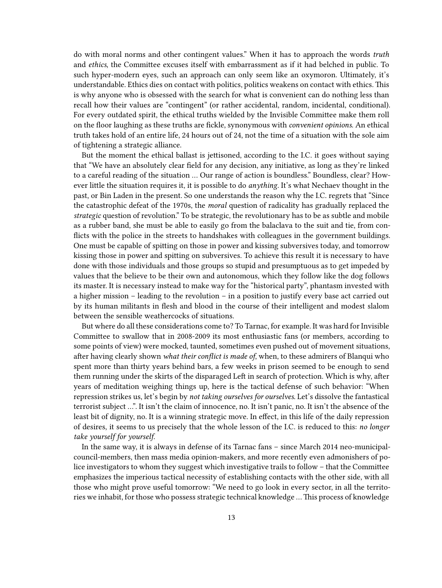do with moral norms and other contingent values." When it has to approach the words *truth* and *ethics*, the Committee excuses itself with embarrassment as if it had belched in public. To such hyper-modern eyes, such an approach can only seem like an oxymoron. Ultimately, it's understandable. Ethics dies on contact with politics, politics weakens on contact with ethics. This is why anyone who is obsessed with the search for what is convenient can do nothing less than recall how their values are "contingent" (or rather accidental, random, incidental, conditional). For every outdated spirit, the ethical truths wielded by the Invisible Committee make them roll on the floor laughing as these truths are fickle, synonymous with *convenient opinions*. An ethical truth takes hold of an entire life, 24 hours out of 24, not the time of a situation with the sole aim of tightening a strategic alliance.

But the moment the ethical ballast is jettisoned, according to the I.C. it goes without saying that "We have an absolutely clear field for any decision, any initiative, as long as they're linked to a careful reading of the situation … Our range of action is boundless." Boundless, clear? However little the situation requires it, it is possible to do *anything*. It's what Nechaev thought in the past, or Bin Laden in the present. So one understands the reason why the I.C. regrets that "Since the catastrophic defeat of the 1970s, the *moral* question of radicality has gradually replaced the *strategic* question of revolution." To be strategic, the revolutionary has to be as subtle and mobile as a rubber band, she must be able to easily go from the balaclava to the suit and tie, from conflicts with the police in the streets to handshakes with colleagues in the government buildings. One must be capable of spitting on those in power and kissing subversives today, and tomorrow kissing those in power and spitting on subversives. To achieve this result it is necessary to have done with those individuals and those groups so stupid and presumptuous as to get impeded by values that the believe to be their own and autonomous, which they follow like the dog follows its master. It is necessary instead to make way for the "historical party", phantasm invested with a higher mission – leading to the revolution – in a position to justify every base act carried out by its human militants in flesh and blood in the course of their intelligent and modest slalom between the sensible weathercocks of situations.

But where do all these considerations come to? To Tarnac, for example. It was hard for Invisible Committee to swallow that in 2008-2009 its most enthusiastic fans (or members, according to some points of view) were mocked, taunted, sometimes even pushed out of movement situations, after having clearly shown *what their conflict is made of*, when, to these admirers of Blanqui who spent more than thirty years behind bars, a few weeks in prison seemed to be enough to send them running under the skirts of the disparaged Left in search of protection. Which is why, after years of meditation weighing things up, here is the tactical defense of such behavior: "When repression strikes us, let's begin by *not taking ourselves for ourselves*. Let's dissolve the fantastical terrorist subject …". It isn't the claim of innocence, no. It isn't panic, no. It isn't the absence of the least bit of dignity, no. It is a winning strategic move. In effect, in this life of the daily repression of desires, it seems to us precisely that the whole lesson of the I.C. is reduced to this: *no longer take yourself for yourself*.

In the same way, it is always in defense of its Tarnac fans – since March 2014 neo-municipalcouncil-members, then mass media opinion-makers, and more recently even admonishers of police investigators to whom they suggest which investigative trails to follow – that the Committee emphasizes the imperious tactical necessity of establishing contacts with the other side, with all those who might prove useful tomorrow: "We need to go look in every sector, in all the territories we inhabit, for those who possess strategic technical knowledge … This process of knowledge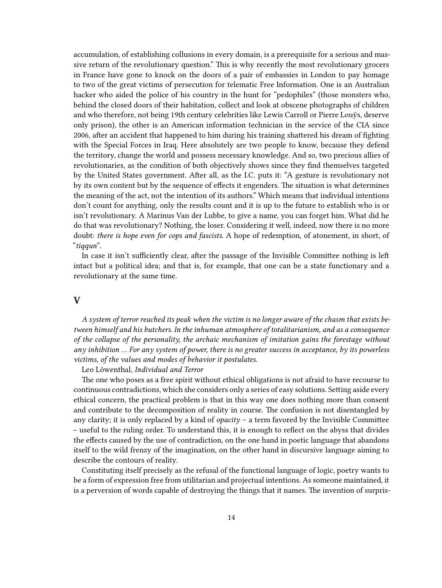accumulation, of establishing collusions in every domain, is a prerequisite for a serious and massive return of the revolutionary question." This is why recently the most revolutionary grocers in France have gone to knock on the doors of a pair of embassies in London to pay homage to two of the great victims of persecution for telematic Free Information. One is an Australian hacker who aided the police of his country in the hunt for "pedophiles" (those monsters who, behind the closed doors of their habitation, collect and look at obscene photographs of children and who therefore, not being 19th century celebrities like Lewis Carroll or Pierre Louÿs, deserve only prison), the other is an American information technician in the service of the CIA since 2006, after an accident that happened to him during his training shattered his dream of fighting with the Special Forces in Iraq. Here absolutely are two people to know, because they defend the territory, change the world and possess necessary knowledge. And so, two precious allies of revolutionaries, as the condition of both objectively shows since they find themselves targeted by the United States government. After all, as the I.C. puts it: "A gesture is revolutionary not by its own content but by the sequence of effects it engenders. The situation is what determines the meaning of the act, not the intention of its authors." Which means that individual intentions don't count for anything, only the results count and it is up to the future to establish who is or isn't revolutionary. A Marinus Van der Lubbe, to give a name, you can forget him. What did he do that was revolutionary? Nothing, the loser. Considering it well, indeed, now there is no more doubt: *there is hope even for cops and fascists*. A hope of redemption, of atonement, in short, of "*tiqqun*".

In case it isn't sufficiently clear, after the passage of the Invisible Committee nothing is left intact but a political idea; and that is, for example, that one can be a state functionary and a revolutionary at the same time.

#### <span id="page-13-0"></span>**V**

*A system of terror reached its peak when the victim is no longer aware of the chasm that exists between himself and his butchers. In the inhuman atmosphere of totalitarianism, and as a consequence of the collapse of the personality, the archaic mechanism of imitation gains the forestage without any inhibition … For any system of power, there is no greater success in acceptance, by its powerless victims, of the values and modes of behavior it postulates.*

Leo Löwenthal, *Individual and Terror*

The one who poses as a free spirit without ethical obligations is not afraid to have recourse to continuous contradictions, which she considers only a series of easy solutions. Setting aside every ethical concern, the practical problem is that in this way one does nothing more than consent and contribute to the decomposition of reality in course. The confusion is not disentangled by any clarity; it is only replaced by a kind of *opacity* – a term favored by the Invisible Committee – useful to the ruling order. To understand this, it is enough to reflect on the abyss that divides the effects caused by the use of contradiction, on the one hand in poetic language that abandons itself to the wild frenzy of the imagination, on the other hand in discursive language aiming to describe the contours of reality.

Constituting itself precisely as the refusal of the functional language of logic, poetry wants to be a form of expression free from utilitarian and projectual intentions. As someone maintained, it is a perversion of words capable of destroying the things that it names. The invention of surpris-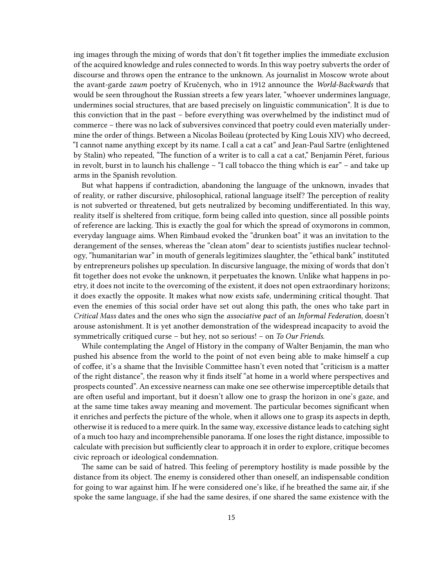ing images through the mixing of words that don't fit together implies the immediate exclusion of the acquired knowledge and rules connected to words. In this way poetry subverts the order of discourse and throws open the entrance to the unknown. As journalist in Moscow wrote about the avant-garde *zaum* poetry of Kručenych, who in 1912 announce the *World-Backwards* that would be seen throughout the Russian streets a few years later, "whoever undermines language, undermines social structures, that are based precisely on linguistic communication". It is due to this conviction that in the past – before everything was overwhelmed by the indistinct mud of commerce – there was no lack of subversives convinced that poetry could even materially undermine the order of things. Between a Nicolas Boileau (protected by King Louis XIV) who decreed, "I cannot name anything except by its name. I call a cat a cat" and Jean-Paul Sartre (enlightened by Stalin) who repeated, "The function of a writer is to call a cat a cat," Benjamin Péret, furious in revolt, burst in to launch his challenge – "I call tobacco the thing which is ear" – and take up arms in the Spanish revolution.

But what happens if contradiction, abandoning the language of the unknown, invades that of reality, or rather discursive, philosophical, rational language itself? The perception of reality is not subverted or threatened, but gets neutralized by becoming undifferentiated. In this way, reality itself is sheltered from critique, form being called into question, since all possible points of reference are lacking. This is exactly the goal for which the spread of oxymorons in common, everyday language aims. When Rimbaud evoked the "drunken boat" it was an invitation to the derangement of the senses, whereas the "clean atom" dear to scientists justifies nuclear technology, "humanitarian war" in mouth of generals legitimizes slaughter, the "ethical bank" instituted by entrepreneurs polishes up speculation. In discursive language, the mixing of words that don't fit together does not evoke the unknown, it perpetuates the known. Unlike what happens in poetry, it does not incite to the overcoming of the existent, it does not open extraordinary horizons; it does exactly the opposite. It makes what now exists safe, undermining critical thought. That even the enemies of this social order have set out along this path, the ones who take part in *Critical Mass* dates and the ones who sign the *associative pact* of an *Informal Federation*, doesn't arouse astonishment. It is yet another demonstration of the widespread incapacity to avoid the symmetrically critiqued curse – but hey, not so serious! – on *To Our Friends.*

While contemplating the Angel of History in the company of Walter Benjamin, the man who pushed his absence from the world to the point of not even being able to make himself a cup of coffee, it's a shame that the Invisible Committee hasn't even noted that "criticism is a matter of the right distance", the reason why it finds itself "at home in a world where perspectives and prospects counted". An excessive nearness can make one see otherwise imperceptible details that are often useful and important, but it doesn't allow one to grasp the horizon in one's gaze, and at the same time takes away meaning and movement. The particular becomes significant when it enriches and perfects the picture of the whole, when it allows one to grasp its aspects in depth, otherwise it is reduced to a mere quirk. In the same way, excessive distance leads to catching sight of a much too hazy and incomprehensible panorama. If one loses the right distance, impossible to calculate with precision but sufficiently clear to approach it in order to explore, critique becomes civic reproach or ideological condemnation.

The same can be said of hatred. This feeling of peremptory hostility is made possible by the distance from its object. The enemy is considered other than oneself, an indispensable condition for going to war against him. If he were considered one's like, if he breathed the same air, if she spoke the same language, if she had the same desires, if one shared the same existence with the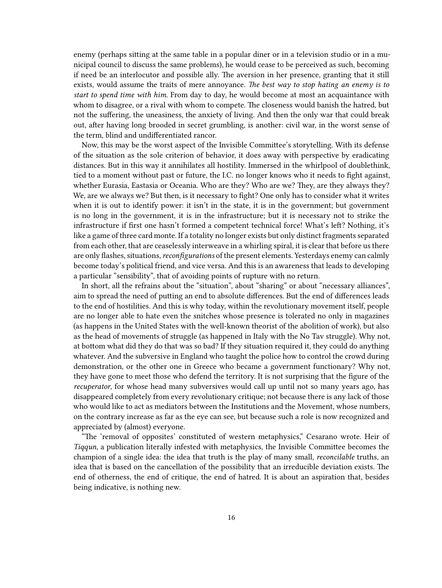enemy (perhaps sitting at the same table in a popular diner or in a television studio or in a municipal council to discuss the same problems), he would cease to be perceived as such, becoming if need be an interlocutor and possible ally. The aversion in her presence, granting that it still exists, would assume the traits of mere annoyance. *The best way to stop hating an enemy is to start to spend time with him.* From day to day, he would become at most an acquaintance with whom to disagree, or a rival with whom to compete. The closeness would banish the hatred, but not the suffering, the uneasiness, the anxiety of living. And then the only war that could break out, after having long brooded in secret grumbling, is another: civil war, in the worst sense of the term, blind and undifferentiated rancor.

Now, this may be the worst aspect of the Invisible Committee's storytelling. With its defense of the situation as the sole criterion of behavior, it does away with perspective by eradicating distances. But in this way it annihilates all hostility. Immersed in the whirlpool of doublethink, tied to a moment without past or future, the I.C. no longer knows who it needs to fight against, whether Eurasia, Eastasia or Oceania. Who are they? Who are we? They, are they always they? We, are we always we? But then, is it necessary to fight? One only has to consider what it writes when it is out to identify power: it isn't in the state, it is in the government; but government is no long in the government, it is in the infrastructure; but it is necessary not to strike the infrastructure if first one hasn't formed a competent technical force! What's left? Nothing, it's like a game of three card monte. If a totality no longer exists but only distinct fragments separated from each other, that are ceaselessly interweave in a whirling spiral, it is clear that before us there are only flashes, situations,*reconfigurations* of the present elements. Yesterdays enemy can calmly become today's political friend, and vice versa. And this is an awareness that leads to developing a particular "sensibility", that of avoiding points of rupture with no return.

In short, all the refrains about the "situation", about "sharing" or about "necessary alliances", aim to spread the need of putting an end to absolute differences. But the end of differences leads to the end of hostilities. And this is why today, within the revolutionary movement itself, people are no longer able to hate even the snitches whose presence is tolerated no only in magazines (as happens in the United States with the well-known theorist of the abolition of work), but also as the head of movements of struggle (as happened in Italy with the No Tav struggle). Why not, at bottom what did they do that was so bad? If they situation required it, they could do anything whatever. And the subversive in England who taught the police how to control the crowd during demonstration, or the other one in Greece who became a government functionary? Why not, they have gone to meet those who defend the territory. It is not surprising that the figure of the *recuperator*, for whose head many subversives would call up until not so many years ago, has disappeared completely from every revolutionary critique; not because there is any lack of those who would like to act as mediators between the Institutions and the Movement, whose numbers, on the contrary increase as far as the eye can see, but because such a role is now recognized and appreciated by (almost) everyone.

"The 'removal of opposites' constituted of western metaphysics," Cesarano wrote. Heir of *Tiqqun*, a publication literally infested with metaphysics, the Invisible Committee becomes the champion of a single idea: the idea that truth is the play of many small, *reconcilable* truths, an idea that is based on the cancellation of the possibility that an irreducible deviation exists. The end of otherness, the end of critique, the end of hatred. It is about an aspiration that, besides being indicative, is nothing new.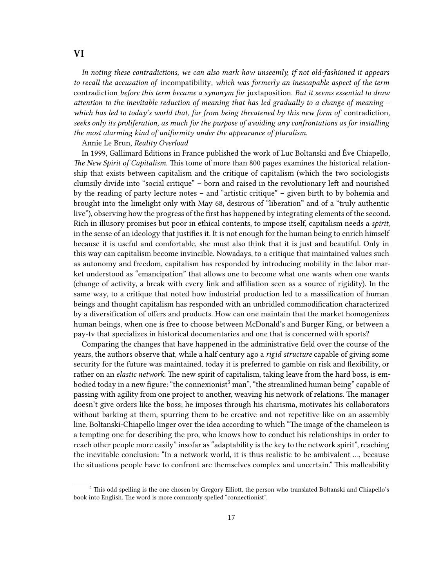*In noting these contradictions, we can also mark how unseemly, if not old-fashioned it appears to recall the accusation of* incompatibility*, which was formerly an inescapable aspect of the term* contradiction *before this term became a synonym for* juxtaposition*. But it seems essential to draw attention to the inevitable reduction of meaning that has led gradually to a change of meaning – which has led to today's world that, far from being threatened by this new form of* contradiction*, seeks only its proliferation, as much for the purpose of avoiding any confrontations as for installing the most alarming kind of uniformity under the appearance of pluralism.*

Annie Le Brun, *Reality Overload*

In 1999, Gallimard Editions in France published the work of Luc Boltanski and Ève Chiapello, *The New Spirit of Capitalism*. This tome of more than 800 pages examines the historical relationship that exists between capitalism and the critique of capitalism (which the two sociologists clumsily divide into "social critique" – born and raised in the revolutionary left and nourished by the reading of party lecture notes – and "artistic critique" – given birth to by bohemia and brought into the limelight only with May 68, desirous of "liberation" and of a "truly authentic live"), observing how the progress of the first has happened by integrating elements of the second. Rich in illusory promises but poor in ethical contents, to impose itself, capitalism needs a *spirit*, in the sense of an ideology that justifies it. It is not enough for the human being to enrich himself because it is useful and comfortable, she must also think that it is just and beautiful. Only in this way can capitalism become invincible. Nowadays, to a critique that maintained values such as autonomy and freedom, capitalism has responded by introducing mobility in the labor market understood as "emancipation" that allows one to become what one wants when one wants (change of activity, a break with every link and affiliation seen as a source of rigidity). In the same way, to a critique that noted how industrial production led to a massification of human beings and thought capitalism has responded with an unbridled commodification characterized by a diversification of offers and products. How can one maintain that the market homogenizes human beings, when one is free to choose between McDonald's and Burger King, or between a pay-tv that specializes in historical documentaries and one that is concerned with sports?

Comparing the changes that have happened in the administrative field over the course of the years, the authors observe that, while a half century ago a *rigid structure* capable of giving some security for the future was maintained, today it is preferred to gamble on risk and flexibility, or rather on an *elastic network*. The new spirit of capitalism, taking leave from the hard boss, is embodied today in a new figure: "the connexionist<sup>3</sup> man", "the streamlined human being" capable of passing with agility from one project to another, weaving his network of relations. The manager doesn't give orders like the boss; he imposes through his charisma, motivates his collaborators without barking at them, spurring them to be creative and not repetitive like on an assembly line. Boltanski-Chiapello linger over the idea according to which "The image of the chameleon is a tempting one for describing the pro, who knows how to conduct his relationships in order to reach other people more easily" insofar as "adaptability is the key to the network spirit", reaching the inevitable conclusion: "In a network world, it is thus realistic to be ambivalent …, because the situations people have to confront are themselves complex and uncertain." This malleability

#### <span id="page-16-0"></span>**VI**

<sup>&</sup>lt;sup>3</sup> This odd spelling is the one chosen by Gregory Elliott, the person who translated Boltanski and Chiapello's book into English. The word is more commonly spelled "connectionist".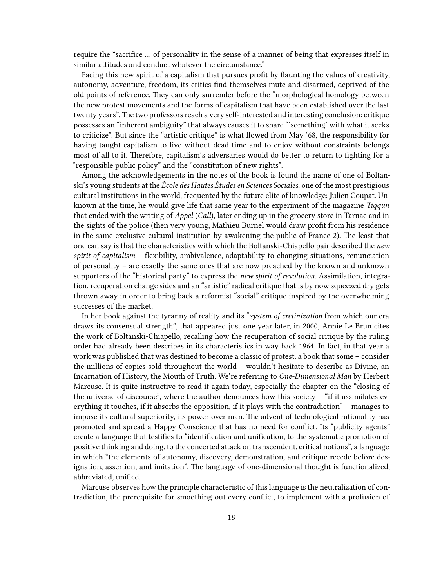require the "sacrifice … of personality in the sense of a manner of being that expresses itself in similar attitudes and conduct whatever the circumstance."

Facing this new spirit of a capitalism that pursues profit by flaunting the values of creativity, autonomy, adventure, freedom, its critics find themselves mute and disarmed, deprived of the old points of reference. They can only surrender before the "morphological homology between the new protest movements and the forms of capitalism that have been established over the last twenty years". The two professors reach a very self-interested and interesting conclusion: critique possesses an "inherent ambiguity" that always causes it to share "'something' with what it seeks to criticize". But since the "artistic critique" is what flowed from May '68, the responsibility for having taught capitalism to live without dead time and to enjoy without constraints belongs most of all to it. Therefore, capitalism's adversaries would do better to return to fighting for a "responsible public policy" and the "constitution of new rights".

Among the acknowledgements in the notes of the book is found the name of one of Boltanski's young students at the *École des Hautes Études en Sciences Sociales*, one of the most prestigious cultural institutions in the world, frequented by the future elite of knowledge: Julien Coupat. Unknown at the time, he would give life that same year to the experiment of the magazine *Tiqqun* that ended with the writing of *Appel* (*Call*), later ending up in the grocery store in Tarnac and in the sights of the police (then very young, Mathieu Burnel would draw profit from his residence in the same exclusive cultural institution by awakening the public of France 2). The least that one can say is that the characteristics with which the Boltanski-Chiapello pair described the *new spirit of capitalism* – flexibility, ambivalence, adaptability to changing situations, renunciation of personality – are exactly the same ones that are now preached by the known and unknown supporters of the "historical party" to express the *new spirit of revolution*. Assimilation, integration, recuperation change sides and an "artistic" radical critique that is by now squeezed dry gets thrown away in order to bring back a reformist "social" critique inspired by the overwhelming successes of the market.

In her book against the tyranny of reality and its "*system of cretinization* from which our era draws its consensual strength", that appeared just one year later, in 2000, Annie Le Brun cites the work of Boltanski-Chiapello, recalling how the recuperation of social critique by the ruling order had already been describes in its characteristics in way back 1964. In fact, in that year a work was published that was destined to become a classic of protest, a book that some – consider the millions of copies sold throughout the world – wouldn't hesitate to describe as Divine, an Incarnation of History, the Mouth of Truth. We're referring to *One-Dimensional Man* by Herbert Marcuse. It is quite instructive to read it again today, especially the chapter on the "closing of the universe of discourse", where the author denounces how this society – "if it assimilates everything it touches, if it absorbs the opposition, if it plays with the contradiction" – manages to impose its cultural superiority, its power over man. The advent of technological rationality has promoted and spread a Happy Conscience that has no need for conflict. Its "publicity agents" create a language that testifies to "identification and unification, to the systematic promotion of positive thinking and doing, to the concerted attack on transcendent, critical notions", a language in which "the elements of autonomy, discovery, demonstration, and critique recede before designation, assertion, and imitation". The language of one-dimensional thought is functionalized, abbreviated, unified.

Marcuse observes how the principle characteristic of this language is the neutralization of contradiction, the prerequisite for smoothing out every conflict, to implement with a profusion of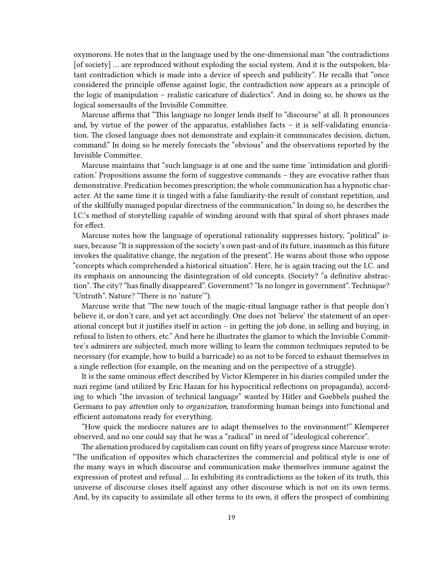oxymorons. He notes that in the language used by the one-dimensional man "the contradictions [of society] … are reproduced without exploding the social system. And it is the outspoken, blatant contradiction which is made into a device of speech and publicity". He recalls that "once considered the principle offense against logic, the contradiction now appears as a principle of the logic of manipulation – realistic caricature of dialectics". And in doing so, he shows us the logical somersaults of the Invisible Committee.

Marcuse affirms that "This language no longer lends itself to "discourse" at all. It pronounces and, by virtue of the power of the apparatus, establishes facts – it is self-validating enunciation. The closed language does not demonstrate and explain-it communicates decision, dictum, command." In doing so he merely forecasts the "obvious" and the observations reported by the Invisible Committee.

Marcuse maintains that "such language is at one and the same time 'intimidation and glorification.' Propositions assume the form of suggestive commands – they are evocative rather than demonstrative. Predication becomes prescription; the whole communication has a hypnotic character. At the same time it is tinged with a false familiarity-the result of constant repetition, and of the skillfully managed popular directness of the communication." In doing so, he describes the I.C.'s method of storytelling capable of winding around with that spiral of short phrases made for effect.

Marcuse notes how the language of operational rationality suppresses history, "political" issues, because "It is suppression of the society's own past-and of its future, inasmuch as this future invokes the qualitative change, the negation of the present". He warns about those who oppose "concepts which comprehended a historical situation". Here, he is again tracing out the I.C. and its emphasis on announcing the disintegration of old concepts. (Society? "a definitive abstraction". The city? "has finally disappeared". Government? "Is no longer in government". Technique? "Untruth". Nature? "There is no 'nature'").

Marcuse write that "The new touch of the magic-ritual language rather is that people don't believe it, or don't care, and yet act accordingly. One does not 'believe' the statement of an operational concept but it justifies itself in action – in getting the job done, in selling and buying, in refusal to listen to others, etc." And here he illustrates the glamor to which the Invisible Committee's admirers are subjected, much more willing to learn the common techniques reputed to be necessary (for example, how to build a barricade) so as not to be forced to exhaust themselves in a single reflection (for example, on the meaning and on the perspective of a struggle).

It is the same ominous effect described by Victor Klemperer in his diaries compiled under the nazi regime (and utilized by Eric Hazan for his hypocritical reflections on propaganda), according to which "the invasion of technical language" wanted by Hitler and Goebbels pushed the Germans to pay *attention* only to *organization*, transforming human beings into functional and efficient automatons ready for everything.

"How quick the mediocre natures are to adapt themselves to the environment!" Klemperer observed, and no one could say that he was a "radical" in need of "ideological coherence".

The alienation produced by capitalism can count on fifty years of progress since Marcuse wrote: "The unification of opposites which characterizes the commercial and political style is one of the many ways in which discourse and communication make themselves immune against the expression of protest and refusal … In exhibiting its contradictions as the token of its truth, this universe of discourse closes itself against any other discourse which is not on its own terms. And, by its capacity to assimilate all other terms to its own, it offers the prospect of combining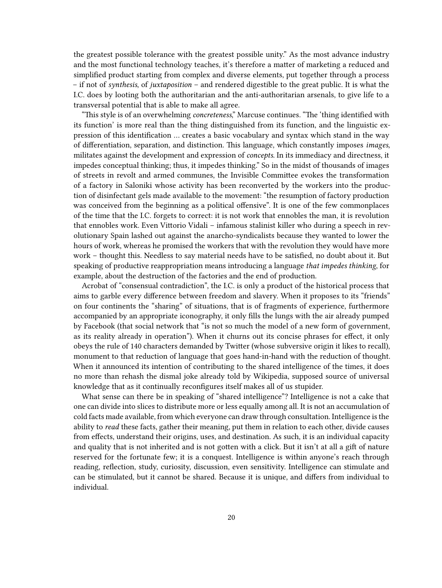the greatest possible tolerance with the greatest possible unity." As the most advance industry and the most functional technology teaches, it's therefore a matter of marketing a reduced and simplified product starting from complex and diverse elements, put together through a process – if not of *synthesis*, of *juxtaposition* – and rendered digestible to the great public. It is what the I.C. does by looting both the authoritarian and the anti-authoritarian arsenals, to give life to a transversal potential that is able to make all agree.

"This style is of an overwhelming *concreteness*," Marcuse continues. "The 'thing identified with its function' is more real than the thing distinguished from its function, and the linguistic expression of this identification … creates a basic vocabulary and syntax which stand in the way of differentiation, separation, and distinction. This language, which constantly imposes *images*, militates against the development and expression of *concepts*. In its immediacy and directness, it impedes conceptual thinking; thus, it impedes thinking." So in the midst of thousands of images of streets in revolt and armed communes, the Invisible Committee evokes the transformation of a factory in Saloniki whose activity has been reconverted by the workers into the production of disinfectant gels made available to the movement: "the resumption of factory production was conceived from the beginning as a political offensive". It is one of the few commonplaces of the time that the I.C. forgets to correct: it is not work that ennobles the man, it is revolution that ennobles work. Even Vittorio Vidali – infamous stalinist killer who during a speech in revolutionary Spain lashed out against the anarcho-syndicalists because they wanted to lower the hours of work, whereas he promised the workers that with the revolution they would have more work – thought this. Needless to say material needs have to be satisfied, no doubt about it. But speaking of productive reappropriation means introducing a language *that impedes thinking*, for example, about the destruction of the factories and the end of production.

Acrobat of "consensual contradiction", the I.C. is only a product of the historical process that aims to garble every difference between freedom and slavery. When it proposes to its "friends" on four continents the "sharing" of situations, that is of fragments of experience, furthermore accompanied by an appropriate iconography, it only fills the lungs with the air already pumped by Facebook (that social network that "is not so much the model of a new form of government, as its reality already in operation"). When it churns out its concise phrases for effect, it only obeys the rule of 140 characters demanded by Twitter (whose subversive origin it likes to recall), monument to that reduction of language that goes hand-in-hand with the reduction of thought. When it announced its intention of contributing to the shared intelligence of the times, it does no more than rehash the dismal joke already told by Wikipedia, supposed source of universal knowledge that as it continually reconfigures itself makes all of us stupider.

What sense can there be in speaking of "shared intelligence"? Intelligence is not a cake that one can divide into slices to distribute more or less equally among all. It is not an accumulation of cold facts made available, from which everyone can draw through consultation. Intelligence is the ability to *read* these facts, gather their meaning, put them in relation to each other, divide causes from effects, understand their origins, uses, and destination. As such, it is an individual capacity and quality that is not inherited and is not gotten with a click. But it isn't at all a gift of nature reserved for the fortunate few; it is a conquest. Intelligence is within anyone's reach through reading, reflection, study, curiosity, discussion, even sensitivity. Intelligence can stimulate and can be stimulated, but it cannot be shared. Because it is unique, and differs from individual to individual.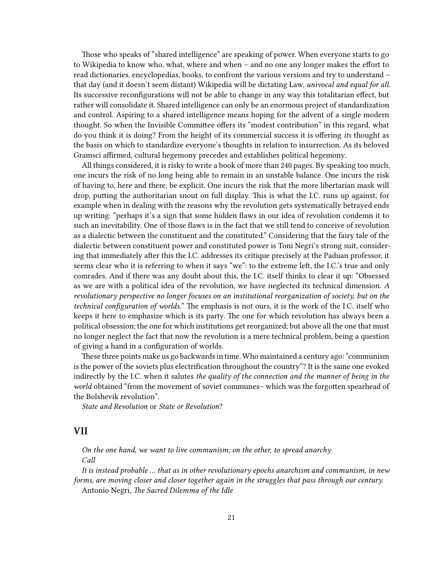Those who speaks of "shared intelligence" are speaking of power. When everyone starts to go to Wikipedia to know who, what, where and when – and no one any longer makes the effort to read dictionaries, encyclopedias, books, to confront the various versions and try to understand – that day (and it doesn't seem distant) Wikipedia will be dictating Law, *univocal and equal for all*. Its successive reconfigurations will not be able to change in any way this totalitarian effect, but rather will consolidate it. Shared intelligence can only be an enormous project of standardization and control. Aspiring to a shared intelligence means hoping for the advent of a single modern thought. So when the Invisible Committee offers its "modest contribution" in this regard, what do you think it is doing? From the height of its commercial success it is offering *its* thought as the basis on which to standardize everyone's thoughts in relation to insurrection. As its beloved Gramsci affirmed, cultural hegemony precedes and establishes political hegemony.

All things considered, it is risky to write a book of more than 240 pages. By speaking too much, one incurs the risk of no long being able to remain in an unstable balance. One incurs the risk of having to, here and there, be explicit. One incurs the risk that the more libertarian mask will drop, putting the authoritarian snout on full display. This is what the I.C. runs up against, for example when in dealing with the reasons why the revolution gets systematically betrayed ends up writing: "perhaps it's a sign that some hidden flaws in our idea of revolution condemn it to such an inevitability. One of those flaws is in the fact that we still tend to conceive of revolution as a dialectic between the constituent and the constituted." Considering that the fairy tale of the dialectic between constituent power and constituted power is Toni Negri's strong suit, considering that immediately after this the I.C. addresses its critique precisely at the Paduan professor, it seems clear who it is referring to when it says "we": to the extreme left, the I.C.'s true and only comrades. And if there was any doubt about this, the I.C. itself thinks to clear it up: "Obsessed as we are with a political idea of the revolution, we have neglected its technical dimension. *A revolutionary perspective no longer focuses on an institutional reorganization of society, but on the technical configuration of worlds.*" The emphasis is not ours, it is the work of the I.C. itself who keeps it here to emphasize which is its party. The one for which revolution has always been a political obsession; the one for which institutions get reorganized; but above all the one that must no longer neglect the fact that now the revolution is a mere technical problem, being a question of giving a hand in a configuration of worlds.

These three points make us go backwards in time. Who maintained a century ago: "communism is the power of the soviets plus electrification throughout the country"? It is the same one evoked indirectly by the I.C. when it salutes *the quality of the connection and the manner of being in the world* obtained "from the movement of soviet communes– which was the forgotten spearhead of the Bolshevik revolution".

*State and Revolution* or *State or Revolution*?

## <span id="page-20-0"></span>**VII**

*On the one hand, we want to live communism; on the other, to spread anarchy Call*

*It is instead probable … that as in other revolutionary epochs anarchism and communism, in new forms, are moving closer and closer together again in the struggles that pass through our century.* Antonio Negri, *The Sacred Dilemma of the Idle*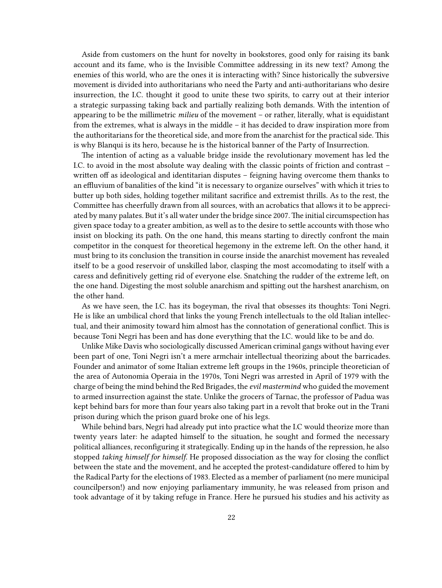Aside from customers on the hunt for novelty in bookstores, good only for raising its bank account and its fame, who is the Invisible Committee addressing in its new text? Among the enemies of this world, who are the ones it is interacting with? Since historically the subversive movement is divided into authoritarians who need the Party and anti-authoritarians who desire insurrection, the I.C. thought it good to unite these two spirits, to carry out at their interior a strategic surpassing taking back and partially realizing both demands. With the intention of appearing to be the millimetric *milieu* of the movement – or rather, literally, what is equidistant from the extremes, what is always in the middle – it has decided to draw inspiration more from the authoritarians for the theoretical side, and more from the anarchist for the practical side. This is why Blanqui is its hero, because he is the historical banner of the Party of Insurrection.

The intention of acting as a valuable bridge inside the revolutionary movement has led the I.C. to avoid in the most absolute way dealing with the classic points of friction and contrast – written off as ideological and identitarian disputes – feigning having overcome them thanks to an effluvium of banalities of the kind "it is necessary to organize ourselves" with which it tries to butter up both sides, holding together militant sacrifice and extremist thrills. As to the rest, the Committee has cheerfully drawn from all sources, with an acrobatics that allows it to be appreciated by many palates. But it's all water under the bridge since 2007. The initial circumspection has given space today to a greater ambition, as well as to the desire to settle accounts with those who insist on blocking its path. On the one hand, this means starting to directly confront the main competitor in the conquest for theoretical hegemony in the extreme left. On the other hand, it must bring to its conclusion the transition in course inside the anarchist movement has revealed itself to be a good reservoir of unskilled labor, clasping the most accomodating to itself with a caress and definitively getting rid of everyone else. Snatching the rudder of the extreme left, on the one hand. Digesting the most soluble anarchism and spitting out the harshest anarchism, on the other hand.

As we have seen, the I.C. has its bogeyman, the rival that obsesses its thoughts: Toni Negri. He is like an umbilical chord that links the young French intellectuals to the old Italian intellectual, and their animosity toward him almost has the connotation of generational conflict. This is because Toni Negri has been and has done everything that the I.C. would like to be and do.

Unlike Mike Davis who sociologically discussed American criminal gangs without having ever been part of one, Toni Negri isn't a mere armchair intellectual theorizing about the barricades. Founder and animator of some Italian extreme left groups in the 1960s, principle theoretician of the area of Autonomia Operaia in the 1970s, Toni Negri was arrested in April of 1979 with the charge of being the mind behind the Red Brigades, the *evil mastermind* who guided the movement to armed insurrection against the state. Unlike the grocers of Tarnac, the professor of Padua was kept behind bars for more than four years also taking part in a revolt that broke out in the Trani prison during which the prison guard broke one of his legs.

While behind bars, Negri had already put into practice what the I.C would theorize more than twenty years later: he adapted himself to the situation, he sought and formed the necessary political alliances, reconfiguring it strategically. Ending up in the hands of the repression, he also stopped *taking himself for himself*. He proposed dissociation as the way for closing the conflict between the state and the movement, and he accepted the protest-candidature offered to him by the Radical Party for the elections of 1983. Elected as a member of parliament (no mere municipal councilperson!) and now enjoying parliamentary immunity, he was released from prison and took advantage of it by taking refuge in France. Here he pursued his studies and his activity as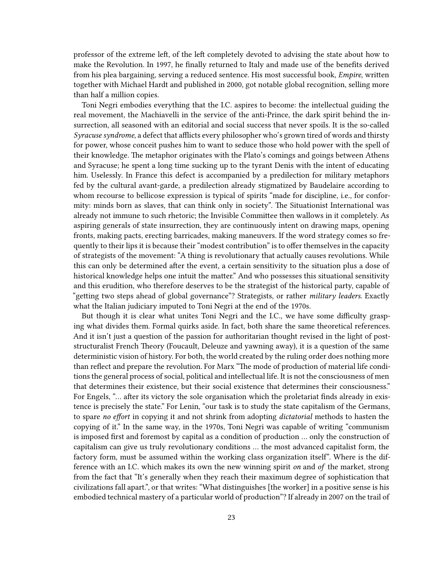professor of the extreme left, of the left completely devoted to advising the state about how to make the Revolution. In 1997, he finally returned to Italy and made use of the benefits derived from his plea bargaining, serving a reduced sentence. His most successful book, *Empire*, written together with Michael Hardt and published in 2000, got notable global recognition, selling more than half a million copies.

Toni Negri embodies everything that the I.C. aspires to become: the intellectual guiding the real movement, the Machiavelli in the service of the anti-Prince, the dark spirit behind the insurrection, all seasoned with an editorial and social success that never spoils. It is the so-called *Syracuse syndrome*, a defect that afflicts every philosopher who's grown tired of words and thirsty for power, whose conceit pushes him to want to seduce those who hold power with the spell of their knowledge. The metaphor originates with the Plato's comings and goings between Athens and Syracuse; he spent a long time sucking up to the tyrant Denis with the intent of educating him. Uselessly. In France this defect is accompanied by a predilection for military metaphors fed by the cultural avant-garde, a predilection already stigmatized by Baudelaire according to whom recourse to bellicose expression is typical of spirits "made for discipline, i.e., for conformity: minds born as slaves, that can think only in society". The Situationist International was already not immune to such rhetoric; the Invisible Committee then wallows in it completely. As aspiring generals of state insurrection, they are continuously intent on drawing maps, opening fronts, making pacts, erecting barricades, making maneuvers. If the word strategy comes so frequently to their lips it is because their "modest contribution" is to offer themselves in the capacity of strategists of the movement: "A thing is revolutionary that actually causes revolutions. While this can only be determined after the event, a certain sensitivity to the situation plus a dose of historical knowledge helps one intuit the matter." And who possesses this situational sensitivity and this erudition, who therefore deserves to be the strategist of the historical party, capable of "getting two steps ahead of global governance"? Strategists, or rather *military leaders*. Exactly what the Italian judiciary imputed to Toni Negri at the end of the 1970s.

But though it is clear what unites Toni Negri and the I.C., we have some difficulty grasping what divides them. Formal quirks aside. In fact, both share the same theoretical references. And it isn't just a question of the passion for authoritarian thought revised in the light of poststructuralist French Theory (Foucault, Deleuze and yawning away), it is a question of the same deterministic vision of history. For both, the world created by the ruling order does nothing more than reflect and prepare the revolution. For Marx "The mode of production of material life conditions the general process of social, political and intellectual life. It is not the consciousness of men that determines their existence, but their social existence that determines their consciousness." For Engels, "… after its victory the sole organisation which the proletariat finds already in existence is precisely the state." For Lenin, "our task is to study the state capitalism of the Germans, to spare *no effort* in copying it and not shrink from adopting *dictatorial* methods to hasten the copying of it." In the same way, in the 1970s, Toni Negri was capable of writing "communism is imposed first and foremost by capital as a condition of production … only the construction of capitalism can give us truly revolutionary conditions … the most advanced capitalist form, the factory form, must be assumed within the working class organization itself". Where is the difference with an I.C. which makes its own the new winning spirit *on* and *of* the market, strong from the fact that "It's generally when they reach their maximum degree of sophistication that civilizations fall apart.", or that writes: "What distinguishes [the worker] in a positive sense is his embodied technical mastery of a particular world of production"? If already in 2007 on the trail of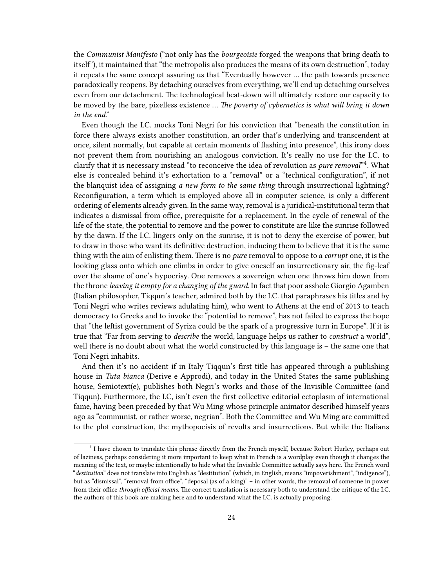the *Communist Manifesto* ("not only has the *bourgeoisie* forged the weapons that bring death to itself"), it maintained that "the metropolis also produces the means of its own destruction", today it repeats the same concept assuring us that "Eventually however … the path towards presence paradoxically reopens. By detaching ourselves from everything, we'll end up detaching ourselves even from our detachment. The technological beat-down will ultimately restore our capacity to be moved by the bare, pixelless existence … *The poverty of cybernetics is what will bring it down in the end*."

Even though the I.C. mocks Toni Negri for his conviction that "beneath the constitution in force there always exists another constitution, an order that's underlying and transcendent at once, silent normally, but capable at certain moments of flashing into presence", this irony does not prevent them from nourishing an analogous conviction. It's really no use for the I.C. to clarify that it is necessary instead "to reconceive the idea of revolution as *pure removal*" 4 . What else is concealed behind it's exhortation to a "removal" or a "technical configuration", if not the blanquist idea of assigning *a new form to the same thing* through insurrectional lightning? Reconfiguration, a term which is employed above all in computer science, is only a different ordering of elements already given. In the same way, removal is a juridical-institutional term that indicates a dismissal from office, prerequisite for a replacement. In the cycle of renewal of the life of the state, the potential to remove and the power to constitute are like the sunrise followed by the dawn. If the I.C. lingers only on the sunrise, it is not to deny the exercise of power, but to draw in those who want its definitive destruction, inducing them to believe that it is the same thing with the aim of enlisting them. There is no *pure* removal to oppose to a *corrupt* one, it is the looking glass onto which one climbs in order to give oneself an insurrectionary air, the fig-leaf over the shame of one's hypocrisy. One removes a sovereign when one throws him down from the throne *leaving it empty for a changing of the guard*. In fact that poor asshole Giorgio Agamben (Italian philosopher, Tiqqun's teacher, admired both by the I.C. that paraphrases his titles and by Toni Negri who writes reviews adulating him), who went to Athens at the end of 2013 to teach democracy to Greeks and to invoke the "potential to remove", has not failed to express the hope that "the leftist government of Syriza could be the spark of a progressive turn in Europe". If it is true that "Far from serving to *describe* the world, language helps us rather to *construct* a world", well there is no doubt about what the world constructed by this language is – the same one that Toni Negri inhabits.

And then it's no accident if in Italy Tiqqun's first title has appeared through a publishing house in *Tuta bianca* (Derive e Approdi), and today in the United States the same publishing house, Semiotext(e), publishes both Negri's works and those of the Invisible Committee (and Tiqqun). Furthermore, the I.C, isn't even the first collective editorial ectoplasm of international fame, having been preceded by that Wu Ming whose principle animator described himself years ago as "communist, or rather worse, negrian". Both the Committee and Wu Ming are committed to the plot construction, the mythopoeisis of revolts and insurrections. But while the Italians

<sup>&</sup>lt;sup>4</sup> I have chosen to translate this phrase directly from the French myself, because Robert Hurley, perhaps out of laziness, perhaps considering it more important to keep what in French is a wordplay even though it changes the meaning of the text, or maybe intentionally to hide what the Invisible Committee actually says here. The French word "*destitution*" does not translate into English as "destitution" (which, in English, means "impoverishment", "indigence"), but as "dismissal", "removal from office", "deposal (as of a king)" – in other words, the removal of someone in power from their office *through official means*. The correct translation is necessary both to understand the critique of the I.C. the authors of this book are making here and to understand what the I.C. is actually proposing.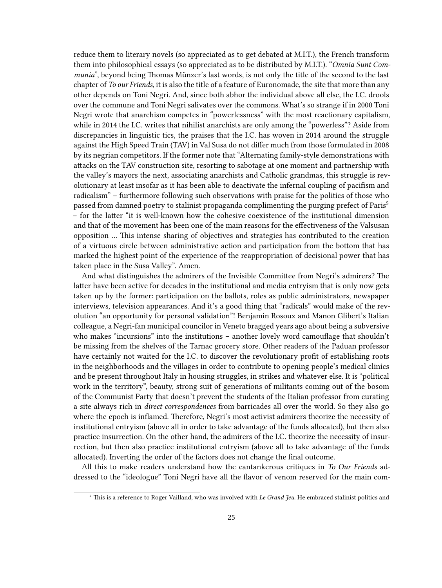reduce them to literary novels (so appreciated as to get debated at M.I.T.), the French transform them into philosophical essays (so appreciated as to be distributed by M.I.T.). "*Omnia Sunt Communia*", beyond being Thomas Münzer's last words, is not only the title of the second to the last chapter of *To our Friends*, it is also the title of a feature of Euronomade, the site that more than any other depends on Toni Negri. And, since both abhor the individual above all else, the I.C. drools over the commune and Toni Negri salivates over the commons. What's so strange if in 2000 Toni Negri wrote that anarchism competes in "powerlessness" with the most reactionary capitalism, while in 2014 the I.C. writes that nihilist anarchists are only among the "powerless"? Aside from discrepancies in linguistic tics, the praises that the I.C. has woven in 2014 around the struggle against the High Speed Train (TAV) in Val Susa do not differ much from those formulated in 2008 by its negrian competitors. If the former note that "Alternating family-style demonstrations with attacks on the TAV construction site, resorting to sabotage at one moment and partnership with the valley's mayors the next, associating anarchists and Catholic grandmas, this struggle is revolutionary at least insofar as it has been able to deactivate the infernal coupling of pacifism and radicalism" – furthermore following such observations with praise for the politics of those who passed from damned poetry to stalinist propaganda complimenting the purging prefect of Paris<sup>5</sup> – for the latter "it is well-known how the cohesive coexistence of the institutional dimension and that of the movement has been one of the main reasons for the effectiveness of the Valsusan opposition … This intense sharing of objectives and strategies has contributed to the creation of a virtuous circle between administrative action and participation from the bottom that has marked the highest point of the experience of the reappropriation of decisional power that has taken place in the Susa Valley". Amen.

And what distinguishes the admirers of the Invisible Committee from Negri's admirers? The latter have been active for decades in the institutional and media entryism that is only now gets taken up by the former: participation on the ballots, roles as public administrators, newspaper interviews, television appearances. And it's a good thing that "radicals" would make of the revolution "an opportunity for personal validation"! Benjamin Rosoux and Manon Glibert's Italian colleague, a Negri-fan municipal councilor in Veneto bragged years ago about being a subversive who makes "incursions" into the institutions – another lovely word camouflage that shouldn't be missing from the shelves of the Tarnac grocery store. Other readers of the Paduan professor have certainly not waited for the I.C. to discover the revolutionary profit of establishing roots in the neighborhoods and the villages in order to contribute to opening people's medical clinics and be present throughout Italy in housing struggles, in strikes and whatever else. It is "political work in the territory", beauty, strong suit of generations of militants coming out of the bosom of the Communist Party that doesn't prevent the students of the Italian professor from curating a site always rich in *direct correspondences* from barricades all over the world. So they also go where the epoch is inflamed. Therefore, Negri's most activist admirers theorize the necessity of institutional entryism (above all in order to take advantage of the funds allocated), but then also practice insurrection. On the other hand, the admirers of the I.C. theorize the necessity of insurrection, but then also practice institutional entryism (above all to take advantage of the funds allocated). Inverting the order of the factors does not change the final outcome.

All this to make readers understand how the cantankerous critiques in *To Our Friends* addressed to the "ideologue" Toni Negri have all the flavor of venom reserved for the main com-

<sup>5</sup> This is a reference to Roger Vailland, who was involved with *Le Grand Jeu*. He embraced stalinist politics and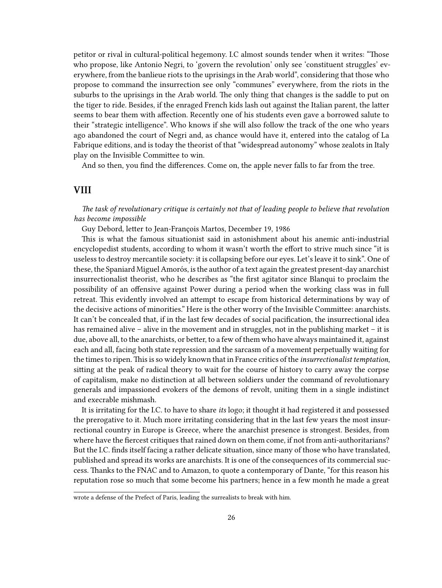petitor or rival in cultural-political hegemony. I.C almost sounds tender when it writes: "Those who propose, like Antonio Negri, to 'govern the revolution' only see 'constituent struggles' everywhere, from the banlieue riots to the uprisings in the Arab world", considering that those who propose to command the insurrection see only "communes" everywhere, from the riots in the suburbs to the uprisings in the Arab world. The only thing that changes is the saddle to put on the tiger to ride. Besides, if the enraged French kids lash out against the Italian parent, the latter seems to bear them with affection. Recently one of his students even gave a borrowed salute to their "strategic intelligence". Who knows if she will also follow the track of the one who years ago abandoned the court of Negri and, as chance would have it, entered into the catalog of La Fabrique editions, and is today the theorist of that "widespread autonomy" whose zealots in Italy play on the Invisible Committee to win.

And so then, you find the differences. Come on, the apple never falls to far from the tree.

#### <span id="page-25-0"></span>**VIII**

*The task of revolutionary critique is certainly not that of leading people to believe that revolution has become impossible*

Guy Debord, letter to Jean-François Martos, December 19, 1986

This is what the famous situationist said in astonishment about his anemic anti-industrial encyclopedist students, according to whom it wasn't worth the effort to strive much since "it is useless to destroy mercantile society: it is collapsing before our eyes. Let's leave it to sink". One of these, the Spaniard Miguel Amorós, is the author of a text again the greatest present-day anarchist insurrectionalist theorist, who he describes as "the first agitator since Blanqui to proclaim the possibility of an offensive against Power during a period when the working class was in full retreat. This evidently involved an attempt to escape from historical determinations by way of the decisive actions of minorities." Here is the other worry of the Invisible Committee: anarchists. It can't be concealed that, if in the last few decades of social pacification, the insurrectional idea has remained alive – alive in the movement and in struggles, not in the publishing market – it is due, above all, to the anarchists, or better, to a few of them who have always maintained it, against each and all, facing both state repression and the sarcasm of a movement perpetually waiting for the times to ripen. This is so widely known that in France critics of the *insurrectionalist temptation*, sitting at the peak of radical theory to wait for the course of history to carry away the corpse of capitalism, make no distinction at all between soldiers under the command of revolutionary generals and impassioned evokers of the demons of revolt, uniting them in a single indistinct and execrable mishmash.

It is irritating for the I.C. to have to share *its* logo; it thought it had registered it and possessed the prerogative to it. Much more irritating considering that in the last few years the most insurrectional country in Europe is Greece, where the anarchist presence is strongest. Besides, from where have the fiercest critiques that rained down on them come, if not from anti-authoritarians? But the I.C. finds itself facing a rather delicate situation, since many of those who have translated, published and spread its works are anarchists. It is one of the consequences of its commercial success. Thanks to the FNAC and to Amazon, to quote a contemporary of Dante, "for this reason his reputation rose so much that some become his partners; hence in a few month he made a great

wrote a defense of the Prefect of Paris, leading the surrealists to break with him.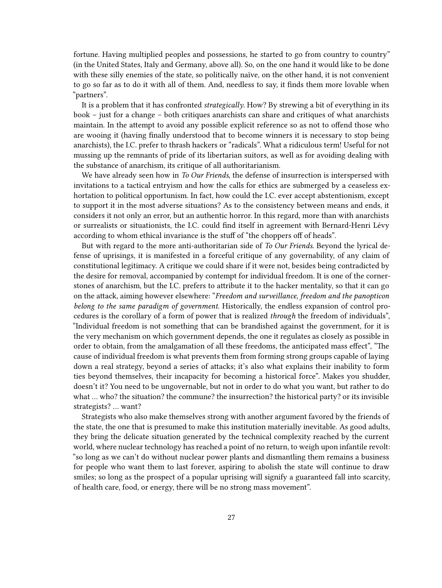fortune. Having multiplied peoples and possessions, he started to go from country to country" (in the United States, Italy and Germany, above all). So, on the one hand it would like to be done with these silly enemies of the state, so politically naïve, on the other hand, it is not convenient to go so far as to do it with all of them. And, needless to say, it finds them more lovable when "partners".

It is a problem that it has confronted *strategically*. How? By strewing a bit of everything in its book – just for a change – both critiques anarchists can share and critiques of what anarchists maintain. In the attempt to avoid any possible explicit reference so as not to offend those who are wooing it (having finally understood that to become winners it is necessary to stop being anarchists), the I.C. prefer to thrash hackers or "radicals". What a ridiculous term! Useful for not mussing up the remnants of pride of its libertarian suitors, as well as for avoiding dealing with the substance of anarchism, its critique of all authoritarianism.

We have already seen how in *To Our Friends*, the defense of insurrection is interspersed with invitations to a tactical entryism and how the calls for ethics are submerged by a ceaseless exhortation to political opportunism. In fact, how could the I.C. ever accept abstentionism, except to support it in the most adverse situations? As to the consistency between means and ends, it considers it not only an error, but an authentic horror. In this regard, more than with anarchists or surrealists or situationists, the I.C. could find itself in agreement with Bernard-Henri Lévy according to whom ethical invariance is the stuff of "the choppers off of heads".

But with regard to the more anti-authoritarian side of *To Our Friends*. Beyond the lyrical defense of uprisings, it is manifested in a forceful critique of any governability, of any claim of constitutional legitimacy. A critique we could share if it were not, besides being contradicted by the desire for removal, accompanied by contempt for individual freedom. It is one of the cornerstones of anarchism, but the I.C. prefers to attribute it to the hacker mentality, so that it can go on the attack, aiming however elsewhere: "*Freedom and surveillance, freedom and the panopticon belong to the same paradigm of government.* Historically, the endless expansion of control procedures is the corollary of a form of power that is realized *through* the freedom of individuals", "Individual freedom is not something that can be brandished against the government, for it is the very mechanism on which government depends, the one it regulates as closely as possible in order to obtain, from the amalgamation of all these freedoms, the anticipated mass effect", "The cause of individual freedom is what prevents them from forming strong groups capable of laying down a real strategy, beyond a series of attacks; it's also what explains their inability to form ties beyond themselves, their incapacity for becoming a historical force". Makes you shudder, doesn't it? You need to be ungovernable, but not in order to do what you want, but rather to do what … who? the situation? the commune? the insurrection? the historical party? or its invisible strategists? … want?

Strategists who also make themselves strong with another argument favored by the friends of the state, the one that is presumed to make this institution materially inevitable. As good adults, they bring the delicate situation generated by the technical complexity reached by the current world, where nuclear technology has reached a point of no return, to weigh upon infantile revolt: "so long as we can't do without nuclear power plants and dismantling them remains a business for people who want them to last forever, aspiring to abolish the state will continue to draw smiles; so long as the prospect of a popular uprising will signify a guaranteed fall into scarcity, of health care, food, or energy, there will be no strong mass movement".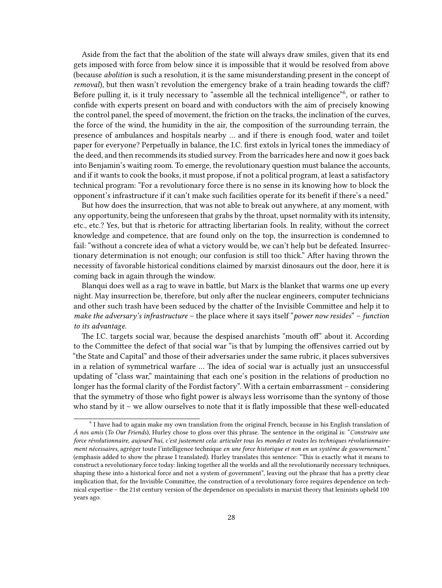Aside from the fact that the abolition of the state will always draw smiles, given that its end gets imposed with force from below since it is impossible that it would be resolved from above (because *abolition* is such a resolution, it is the same misunderstanding present in the concept of *removal*), but then wasn't revolution the emergency brake of a train heading towards the cliff? Before pulling it, is it truly necessary to "assemble all the technical intelligence"<sup>6</sup>, or rather to confide with experts present on board and with conductors with the aim of precisely knowing the control panel, the speed of movement, the friction on the tracks, the inclination of the curves, the force of the wind, the humidity in the air, the composition of the surrounding terrain, the presence of ambulances and hospitals nearby … and if there is enough food, water and toilet paper for everyone? Perpetually in balance, the I.C. first extols in lyrical tones the immediacy of the deed, and then recommends its studied survey. From the barricades here and now it goes back into Benjamin's waiting room. To emerge, the revolutionary question must balance the accounts, and if it wants to cook the books, it must propose, if not a political program, at least a satisfactory technical program: "For a revolutionary force there is no sense in its knowing how to block the opponent's infrastructure if it can't make such facilities operate for its benefit if there's a need."

But how does the insurrection, that was not able to break out anywhere, at any moment, with any opportunity, being the unforeseen that grabs by the throat, upset normality with its intensity, etc., etc.? Yes, but that is rhetoric for attracting libertarian fools. In reality, without the correct knowledge and competence, that are found only on the top, the insurrection is condemned to fail: "without a concrete idea of what a victory would be, we can't help but be defeated. Insurrectionary determination is not enough; our confusion is still too thick." After having thrown the necessity of favorable historical conditions claimed by marxist dinosaurs out the door, here it is coming back in again through the window.

Blanqui does well as a rag to wave in battle, but Marx is the blanket that warms one up every night. May insurrection be, therefore, but only after the nuclear engineers, computer technicians and other such trash have been seduced by the chatter of the Invisible Committee and help it to *make the adversary's infrastructure* – the place where it says itself "*power now resides*" – *function to its advantage*.

The I.C. targets social war, because the despised anarchists "mouth off" about it. According to the Committee the defect of that social war "is that by lumping the offensives carried out by "the State and Capital" and those of their adversaries under the same rubric, it places subversives in a relation of symmetrical warfare … The idea of social war is actually just an unsuccessful updating of "class war," maintaining that each one's position in the relations of production no longer has the formal clarity of the Fordist factory". With a certain embarrassment – considering that the symmetry of those who fight power is always less worrisome than the syntony of those who stand by it – we allow ourselves to note that it is flatly impossible that these well-educated

<sup>6</sup> I have had to again make my own translation from the original French, because in his English translation of *À nos amis* (*To Our Friends*), Hurley chose to gloss over this phrase. The sentence in the original is: "*Construire une force révolutionnaire, aujourd'hui, c'est justement cela: articuler tous les mondes et toutes les techniques révolutionnairement nécessaires,* agréger toute l'intelligence technique *en une force historique et non en un système de gouvernement.*" (emphasis added to show the phrase I translated). Hurley translates this sentence: "This is exactly what it means to construct a revolutionary force today: linking together all the worlds and all the revolutionarily necessary techniques, shaping these into a historical force and not a system of government", leaving out the phrase that has a pretty clear implication that, for the Invisible Committee, the construction of a revolutionary force requires dependence on technical expertise – the 21st century version of the dependence on specialists in marxist theory that leninists upheld 100 years ago.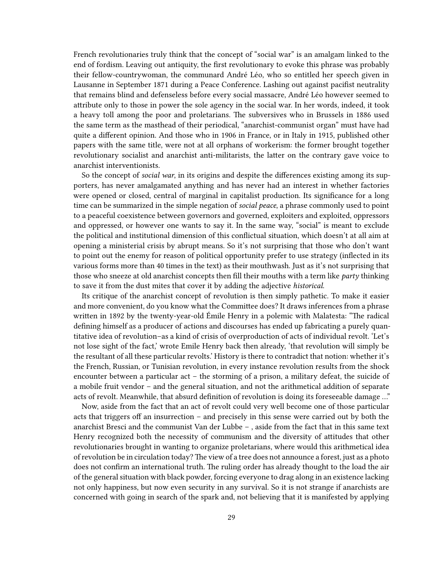French revolutionaries truly think that the concept of "social war" is an amalgam linked to the end of fordism. Leaving out antiquity, the first revolutionary to evoke this phrase was probably their fellow-countrywoman, the communard André Léo, who so entitled her speech given in Lausanne in September 1871 during a Peace Conference. Lashing out against pacifist neutrality that remains blind and defenseless before every social massacre, André Léo however seemed to attribute only to those in power the sole agency in the social war. In her words, indeed, it took a heavy toll among the poor and proletarians. The subversives who in Brussels in 1886 used the same term as the masthead of their periodical, "anarchist-communist organ" must have had quite a different opinion. And those who in 1906 in France, or in Italy in 1915, published other papers with the same title, were not at all orphans of workerism: the former brought together revolutionary socialist and anarchist anti-militarists, the latter on the contrary gave voice to anarchist interventionists.

So the concept of *social war*, in its origins and despite the differences existing among its supporters, has never amalgamated anything and has never had an interest in whether factories were opened or closed, central of marginal in capitalist production. Its significance for a long time can be summarized in the simple negation of *social peace*, a phrase commonly used to point to a peaceful coexistence between governors and governed, exploiters and exploited, oppressors and oppressed, or however one wants to say it. In the same way, "social" is meant to exclude the political and institutional dimension of this conflictual situation, which doesn't at all aim at opening a ministerial crisis by abrupt means. So it's not surprising that those who don't want to point out the enemy for reason of political opportunity prefer to use strategy (inflected in its various forms more than 40 times in the text) as their mouthwash. Just as it's not surprising that those who sneeze at old anarchist concepts then fill their mouths with a term like *party* thinking to save it from the dust mites that cover it by adding the adjective *historical*.

Its critique of the anarchist concept of revolution is then simply pathetic. To make it easier and more convenient, do you know what the Committee does? It draws inferences from a phrase written in 1892 by the twenty-year-old Émile Henry in a polemic with Malatesta: "The radical defining himself as a producer of actions and discourses has ended up fabricating a purely quantitative idea of revolution–as a kind of crisis of overproduction of acts of individual revolt. 'Let's not lose sight of the fact,' wrote Emile Henry back then already, 'that revolution will simply be the resultant of all these particular revolts.' History is there to contradict that notion: whether it's the French, Russian, or Tunisian revolution, in every instance revolution results from the shock encounter between a particular act – the storming of a prison, a military defeat, the suicide of a mobile fruit vendor – and the general situation, and not the arithmetical addition of separate acts of revolt. Meanwhile, that absurd definition of revolution is doing its foreseeable damage …"

Now, aside from the fact that an act of revolt could very well become one of those particular acts that triggers off an insurrection – and precisely in this sense were carried out by both the anarchist Bresci and the communist Van der Lubbe – , aside from the fact that in this same text Henry recognized both the necessity of communism and the diversity of attitudes that other revolutionaries brought in wanting to organize proletarians, where would this arithmetical idea of revolution be in circulation today? The view of a tree does not announce a forest, just as a photo does not confirm an international truth. The ruling order has already thought to the load the air of the general situation with black powder, forcing everyone to drag along in an existence lacking not only happiness, but now even security in any survival. So it is not strange if anarchists are concerned with going in search of the spark and, not believing that it is manifested by applying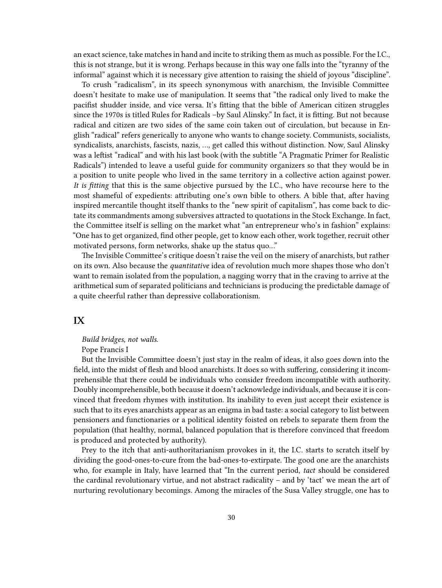an exact science, take matches in hand and incite to striking them as much as possible. For the I.C., this is not strange, but it is wrong. Perhaps because in this way one falls into the "tyranny of the informal" against which it is necessary give attention to raising the shield of joyous "discipline".

To crush "radicalism", in its speech synonymous with anarchism, the Invisible Committee doesn't hesitate to make use of manipulation. It seems that "the radical only lived to make the pacifist shudder inside, and vice versa. It's fitting that the bible of American citizen struggles since the 1970s is titled Rules for Radicals –by Saul Alinsky." In fact, it is fitting. But not because radical and citizen are two sides of the same coin taken out of circulation, but because in English "radical" refers generically to anyone who wants to change society. Communists, socialists, syndicalists, anarchists, fascists, nazis, …, get called this without distinction. Now, Saul Alinsky was a leftist "radical" and with his last book (with the subtitle "A Pragmatic Primer for Realistic Radicals") intended to leave a useful guide for community organizers so that they would be in a position to unite people who lived in the same territory in a collective action against power. *It is fitting* that this is the same objective pursued by the I.C., who have recourse here to the most shameful of expedients: attributing one's own bible to others. A bible that, after having inspired mercantile thought itself thanks to the "new spirit of capitalism", has come back to dictate its commandments among subversives attracted to quotations in the Stock Exchange. In fact, the Committee itself is selling on the market what "an entrepreneur who's in fashion" explains: "One has to get organized, find other people, get to know each other, work together, recruit other motivated persons, form networks, shake up the status quo…"

The Invisible Committee's critique doesn't raise the veil on the misery of anarchists, but rather on its own. Also because the *quantitative* idea of revolution much more shapes those who don't want to remain isolated from the population, a nagging worry that in the craving to arrive at the arithmetical sum of separated politicians and technicians is producing the predictable damage of a quite cheerful rather than depressive collaborationism.

## <span id="page-29-0"></span>**IX**

#### *Build bridges, not walls.*

Pope Francis I

But the Invisible Committee doesn't just stay in the realm of ideas, it also goes down into the field, into the midst of flesh and blood anarchists. It does so with suffering, considering it incomprehensible that there could be individuals who consider freedom incompatible with authority. Doubly incomprehensible, both because it doesn't acknowledge individuals, and because it is convinced that freedom rhymes with institution. Its inability to even just accept their existence is such that to its eyes anarchists appear as an enigma in bad taste: a social category to list between pensioners and functionaries or a political identity foisted on rebels to separate them from the population (that healthy, normal, balanced population that is therefore convinced that freedom is produced and protected by authority).

Prey to the itch that anti-authoritarianism provokes in it, the I.C. starts to scratch itself by dividing the good-ones-to-cure from the bad-ones-to-extirpate. The good one are the anarchists who, for example in Italy, have learned that "In the current period, *tact* should be considered the cardinal revolutionary virtue, and not abstract radicality – and by 'tact' we mean the art of nurturing revolutionary becomings. Among the miracles of the Susa Valley struggle, one has to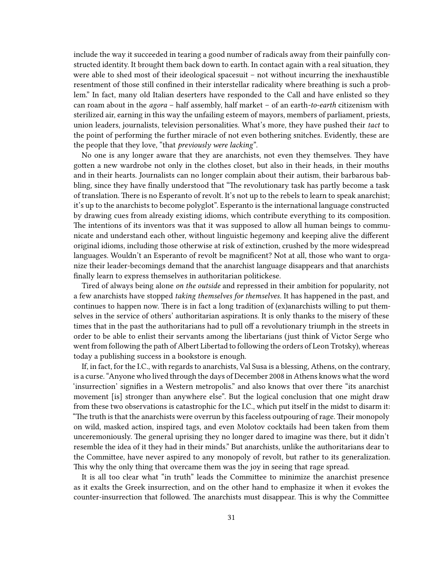include the way it succeeded in tearing a good number of radicals away from their painfully constructed identity. It brought them back down to earth. In contact again with a real situation, they were able to shed most of their ideological spacesuit – not without incurring the inexhaustible resentment of those still confined in their interstellar radicality where breathing is such a problem." In fact, many old Italian deserters have responded to the Call and have enlisted so they can roam about in the *agora* – half assembly, half market – of an earth*-to-earth* citizenism with sterilized air, earning in this way the unfailing esteem of mayors, members of parliament, priests, union leaders, journalists, television personalities. What's more, they have pushed their *tact* to the point of performing the further miracle of not even bothering snitches. Evidently, these are the people that they love, "that *previously were lacking*".

No one is any longer aware that they are anarchists, not even they themselves. They have gotten a new wardrobe not only in the clothes closet, but also in their heads, in their mouths and in their hearts. Journalists can no longer complain about their autism, their barbarous babbling, since they have finally understood that "The revolutionary task has partly become a task of translation. There is no Esperanto of revolt. It's not up to the rebels to learn to speak anarchist; it's up to the anarchists to become polyglot". Esperanto is the international language constructed by drawing cues from already existing idioms, which contribute everything to its composition. The intentions of its inventors was that it was supposed to allow all human beings to communicate and understand each other, without linguistic hegemony and keeping alive the different original idioms, including those otherwise at risk of extinction, crushed by the more widespread languages. Wouldn't an Esperanto of revolt be magnificent? Not at all, those who want to organize their leader-becomings demand that the anarchist language disappears and that anarchists finally learn to express themselves in authoritarian politickese.

Tired of always being alone *on the outside* and repressed in their ambition for popularity, not a few anarchists have stopped *taking themselves for themselves.* It has happened in the past, and continues to happen now. There is in fact a long tradition of (ex)anarchists willing to put themselves in the service of others' authoritarian aspirations. It is only thanks to the misery of these times that in the past the authoritarians had to pull off a revolutionary triumph in the streets in order to be able to enlist their servants among the libertarians (just think of Victor Serge who went from following the path of Albert Libertad to following the orders of Leon Trotsky), whereas today a publishing success in a bookstore is enough.

If, in fact, for the I.C., with regards to anarchists, Val Susa is a blessing, Athens, on the contrary, is a curse. "Anyone who lived through the days of December 2008 in Athens knows what the word 'insurrection' signifies in a Western metropolis." and also knows that over there "its anarchist movement [is] stronger than anywhere else". But the logical conclusion that one might draw from these two observations is catastrophic for the I.C., which put itself in the midst to disarm it: "The truth is that the anarchists were overrun by this faceless outpouring of rage. Their monopoly on wild, masked action, inspired tags, and even Molotov cocktails had been taken from them unceremoniously. The general uprising they no longer dared to imagine was there, but it didn't resemble the idea of it they had in their minds." But anarchists, unlike the authoritarians dear to the Committee, have never aspired to any monopoly of revolt, but rather to its generalization. This why the only thing that overcame them was the joy in seeing that rage spread.

It is all too clear what "in truth" leads the Committee to minimize the anarchist presence as it exalts the Greek insurrection, and on the other hand to emphasize it when it evokes the counter-insurrection that followed. The anarchists must disappear. This is why the Committee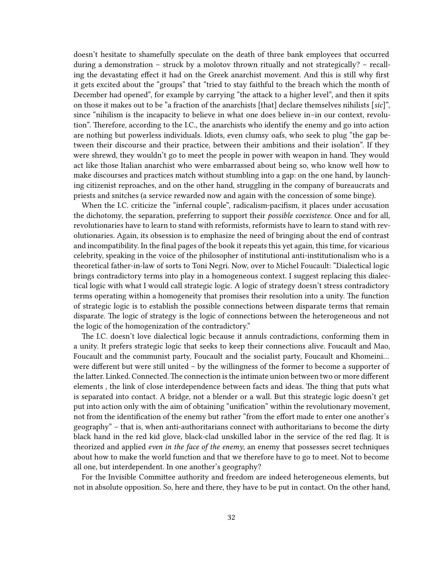doesn't hesitate to shamefully speculate on the death of three bank employees that occurred during a demonstration – struck by a molotov thrown ritually and not strategically? – recalling the devastating effect it had on the Greek anarchist movement. And this is still why first it gets excited about the "groups" that "tried to stay faithful to the breach which the month of December had opened", for example by carrying "the attack to a higher level", and then it spits on those it makes out to be "a fraction of the anarchists [that] declare themselves nihilists [*sic*]", since "nihilism is the incapacity to believe in what one does believe in–in our context, revolution". Therefore, according to the I.C., the anarchists who identify the enemy and go into action are nothing but powerless individuals. Idiots, even clumsy oafs, who seek to plug "the gap between their discourse and their practice, between their ambitions and their isolation". If they were shrewd, they wouldn't go to meet the people in power with weapon in hand. They would act like those Italian anarchist who were embarrassed about being so, who know well how to make discourses and practices match without stumbling into a gap: on the one hand, by launching citizenist reproaches, and on the other hand, struggling in the company of bureaucrats and priests and snitches (a service rewarded now and again with the concession of some binge).

When the I.C. criticize the "infernal couple", radicalism-pacifism, it places under accusation the dichotomy, the separation, preferring to support their *possible coexistence*. Once and for all, revolutionaries have to learn to stand with reformists, reformists have to learn to stand with revolutionaries. Again, its obsession is to emphasize the need of bringing about the end of contrast and incompatibility. In the final pages of the book it repeats this yet again, this time, for vicarious celebrity, speaking in the voice of the philosopher of institutional anti-institutionalism who is a theoretical father-in-law of sorts to Toni Negri. Now, over to Michel Foucault: "Dialectical logic brings contradictory terms into play in a homogeneous context. I suggest replacing this dialectical logic with what I would call strategic logic. A logic of strategy doesn't stress contradictory terms operating within a homogeneity that promises their resolution into a unity. The function of strategic logic is to establish the possible connections between disparate terms that remain disparate. The logic of strategy is the logic of connections between the heterogeneous and not the logic of the homogenization of the contradictory."

The I.C. doesn't love dialectical logic because it annuls contradictions, conforming them in a unity. It prefers strategic logic that seeks to keep their connections alive. Foucault and Mao, Foucault and the communist party, Foucault and the socialist party, Foucault and Khomeini… were different but were still united – by the willingness of the former to become a supporter of the latter. Linked. Connected. The connection is the intimate union between two or more different elements , the link of close interdependence between facts and ideas. The thing that puts what is separated into contact. A bridge, not a blender or a wall. But this strategic logic doesn't get put into action only with the aim of obtaining "unification" within the revolutionary movement, not from the identification of the enemy but rather "from the effort made to enter one another's geography" – that is, when anti-authoritarians connect with authoritarians to become the dirty black hand in the red kid glove, black-clad unskilled labor in the service of the red flag. It is theorized and applied *even in the face of the enemy*, an enemy that possesses secret techniques about how to make the world function and that we therefore have to go to meet. Not to become all one, but interdependent. In one another's geography?

For the Invisible Committee authority and freedom are indeed heterogeneous elements, but not in absolute opposition. So, here and there, they have to be put in contact. On the other hand,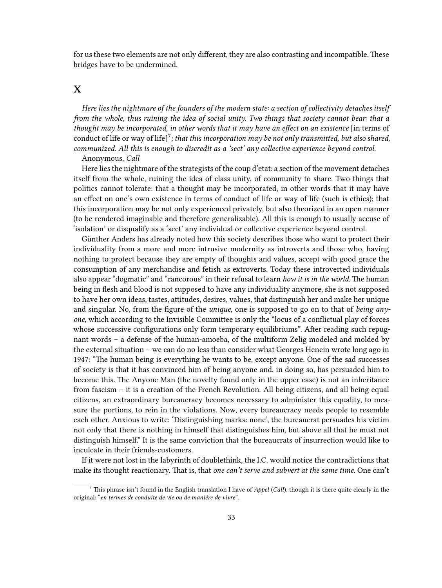for us these two elements are not only different, they are also contrasting and incompatible. These bridges have to be undermined.

## <span id="page-32-0"></span>**X**

*Here lies the nightmare of the founders of the modern state: a section of collectivity detaches itself from the whole, thus ruining the idea of social unity. Two things that society cannot bear: that a thought may be incorporated, in other words that it may have an effect on an existence* [in terms of conduct of life or way of life]<sup>7</sup> *; that this incorporation may be not only transmitted, but also shared, communized. All this is enough to discredit as a 'sect' any collective experience beyond control.*

Anonymous, *Call*

Here lies the nightmare of the strategists of the coup d'etat: a section of the movement detaches itself from the whole, ruining the idea of class unity, of community to share. Two things that politics cannot tolerate: that a thought may be incorporated, in other words that it may have an effect on one's own existence in terms of conduct of life or way of life (such is ethics); that this incorporation may be not only experienced privately, but also theorized in an open manner (to be rendered imaginable and therefore generalizable). All this is enough to usually accuse of 'isolation' or disqualify as a 'sect' any individual or collective experience beyond control.

Günther Anders has already noted how this society describes those who want to protect their individuality from a more and more intrusive modernity as introverts and those who, having nothing to protect because they are empty of thoughts and values, accept with good grace the consumption of any merchandise and fetish as extroverts. Today these introverted individuals also appear "dogmatic" and "rancorous" in their refusal to learn *how it is in the world*. The human being in flesh and blood is not supposed to have any individuality anymore, she is not supposed to have her own ideas, tastes, attitudes, desires, values, that distinguish her and make her unique and singular. No, from the figure of the *unique*, one is supposed to go on to that of *being anyone*, which according to the Invisible Committee is only the "locus of a conflictual play of forces whose successive configurations only form temporary equilibriums". After reading such repugnant words – a defense of the human-amoeba, of the multiform Zelig modeled and molded by the external situation – we can do no less than consider what Georges Henein wrote long ago in 1947: "The human being is everything he wants to be, except anyone. One of the sad successes of society is that it has convinced him of being anyone and, in doing so, has persuaded him to become this. The Anyone Man (the novelty found only in the upper case) is not an inheritance from fascism – it is a creation of the French Revolution. All being citizens, and all being equal citizens, an extraordinary bureaucracy becomes necessary to administer this equality, to measure the portions, to rein in the violations. Now, every bureaucracy needs people to resemble each other. Anxious to write: 'Distinguishing marks: none', the bureaucrat persuades his victim not only that there is nothing in himself that distinguishes him, but above all that he must not distinguish himself." It is the same conviction that the bureaucrats of insurrection would like to inculcate in their friends-customers.

If it were not lost in the labyrinth of doublethink, the I.C. would notice the contradictions that make its thought reactionary. That is, that *one can't serve and subvert at the same time*. One can't

<sup>7</sup> This phrase isn't found in the English translation I have of *Appel* (*Call*), though it is there quite clearly in the original: "*en termes de conduite de vie ou de manière de vivre*".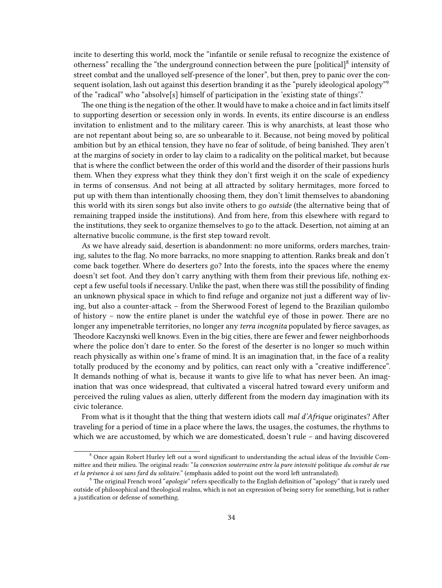incite to deserting this world, mock the "infantile or senile refusal to recognize the existence of otherness" recalling the "the underground connection between the pure [political]<sup>8</sup> intensity of street combat and the unalloyed self-presence of the loner", but then, prey to panic over the consequent isolation, lash out against this desertion branding it as the "purely ideological apology"<sup>9</sup> of the "radical" who "absolve[s] himself of participation in the 'existing state of things'."

The one thing is the negation of the other. It would have to make a choice and in fact limits itself to supporting desertion or secession only in words. In events, its entire discourse is an endless invitation to enlistment and to the military career. This is why anarchists, at least those who are not repentant about being so, are so unbearable to it. Because, not being moved by political ambition but by an ethical tension, they have no fear of solitude, of being banished. They aren't at the margins of society in order to lay claim to a radicality on the political market, but because that is where the conflict between the order of this world and the disorder of their passions hurls them. When they express what they think they don't first weigh it on the scale of expediency in terms of consensus. And not being at all attracted by solitary hermitages, more forced to put up with them than intentionally choosing them, they don't limit themselves to abandoning this world with its siren songs but also invite others to go *outside* (the alternative being that of remaining trapped inside the institutions). And from here, from this elsewhere with regard to the institutions, they seek to organize themselves to go to the attack. Desertion, not aiming at an alternative bucolic commune, is the first step toward revolt.

As we have already said, desertion is abandonment: no more uniforms, orders marches, training, salutes to the flag. No more barracks, no more snapping to attention. Ranks break and don't come back together. Where do deserters go? Into the forests, into the spaces where the enemy doesn't set foot. And they don't carry anything with them from their previous life, nothing except a few useful tools if necessary. Unlike the past, when there was still the possibility of finding an unknown physical space in which to find refuge and organize not just a different way of living, but also a counter-attack – from the Sherwood Forest of legend to the Brazilian quilombo of history – now the entire planet is under the watchful eye of those in power. There are no longer any impenetrable territories, no longer any *terra incognita* populated by fierce savages, as Theodore Kaczynski well knows. Even in the big cities, there are fewer and fewer neighborhoods where the police don't dare to enter. So the forest of the deserter is no longer so much within reach physically as within one's frame of mind. It is an imagination that, in the face of a reality totally produced by the economy and by politics, can react only with a "creative indifference". It demands nothing of what is, because it wants to give life to what has never been. An imagination that was once widespread, that cultivated a visceral hatred toward every uniform and perceived the ruling values as alien, utterly different from the modern day imagination with its civic tolerance.

From what is it thought that the thing that western idiots call *mal d'Afrique* originates? After traveling for a period of time in a place where the laws, the usages, the costumes, the rhythms to which we are accustomed, by which we are domesticated, doesn't rule – and having discovered

<sup>8</sup> Once again Robert Hurley left out a word significant to understanding the actual ideas of the Invisible Committee and their milieu. The original reads: "*la connexion souterraine entre la pure intensité* politique *du combat de rue et la présence à soi sans fard du solitaire.*" (emphasis added to point out the word left untranslated).

<sup>9</sup> The original French word "*apologie*" refers specifically to the English definition of "apology" that is rarely used outside of philosophical and theological realms, which is not an expression of being sorry for something, but is rather a justification or defense of something.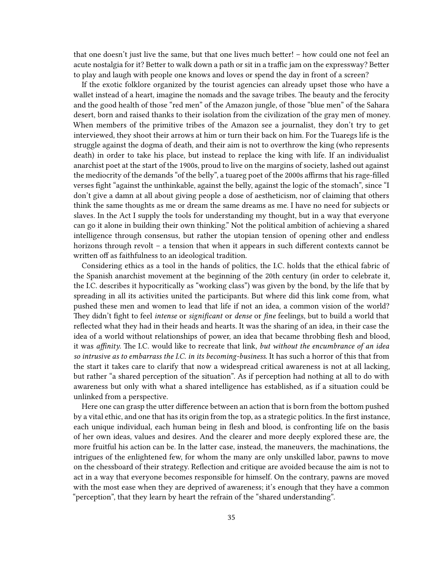that one doesn't just live the same, but that one lives much better! – how could one not feel an acute nostalgia for it? Better to walk down a path or sit in a traffic jam on the expressway? Better to play and laugh with people one knows and loves or spend the day in front of a screen?

If the exotic folklore organized by the tourist agencies can already upset those who have a wallet instead of a heart, imagine the nomads and the savage tribes. The beauty and the ferocity and the good health of those "red men" of the Amazon jungle, of those "blue men" of the Sahara desert, born and raised thanks to their isolation from the civilization of the gray men of money. When members of the primitive tribes of the Amazon see a journalist, they don't try to get interviewed, they shoot their arrows at him or turn their back on him. For the Tuaregs life is the struggle against the dogma of death, and their aim is not to overthrow the king (who represents death) in order to take his place, but instead to replace the king with life. If an individualist anarchist poet at the start of the 1900s, proud to live on the margins of society, lashed out against the mediocrity of the demands "of the belly", a tuareg poet of the 2000s affirms that his rage-filled verses fight "against the unthinkable, against the belly, against the logic of the stomach", since "I don't give a damn at all about giving people a dose of aestheticism, nor of claiming that others think the same thoughts as me or dream the same dreams as me. I have no need for subjects or slaves. In the Act I supply the tools for understanding my thought, but in a way that everyone can go it alone in building their own thinking." Not the political ambition of achieving a shared intelligence through consensus, but rather the utopian tension of opening other and endless horizons through revolt – a tension that when it appears in such different contexts cannot be written off as faithfulness to an ideological tradition.

Considering ethics as a tool in the hands of politics, the I.C. holds that the ethical fabric of the Spanish anarchist movement at the beginning of the 20th century (in order to celebrate it, the I.C. describes it hypocritically as "working class") was given by the bond, by the life that by spreading in all its activities united the participants. But where did this link come from, what pushed these men and women to lead that life if not an idea, a common vision of the world? They didn't fight to feel *intense* or *significant* or *dense* or *fine* feelings, but to build a world that reflected what they had in their heads and hearts. It was the sharing of an idea, in their case the idea of a world without relationships of power, an idea that became throbbing flesh and blood, it was *affinity*. The I.C. would like to recreate that link, *but without the encumbrance of an idea so intrusive as to embarrass the I.C. in its becoming-business*. It has such a horror of this that from the start it takes care to clarify that now a widespread critical awareness is not at all lacking, but rather "a shared perception of the situation". As if perception had nothing at all to do with awareness but only with what a shared intelligence has established, as if a situation could be unlinked from a perspective.

Here one can grasp the utter difference between an action that is born from the bottom pushed by a vital ethic, and one that has its origin from the top, as a strategic politics. In the first instance, each unique individual, each human being in flesh and blood, is confronting life on the basis of her own ideas, values and desires. And the clearer and more deeply explored these are, the more fruitful his action can be. In the latter case, instead, the maneuvers, the machinations, the intrigues of the enlightened few, for whom the many are only unskilled labor, pawns to move on the chessboard of their strategy. Reflection and critique are avoided because the aim is not to act in a way that everyone becomes responsible for himself. On the contrary, pawns are moved with the most ease when they are deprived of awareness; it's enough that they have a common "perception", that they learn by heart the refrain of the "shared understanding".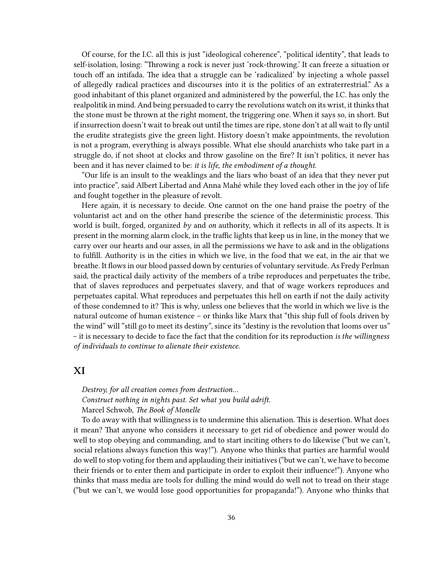Of course, for the I.C. all this is just "ideological coherence", "political identity", that leads to self-isolation, losing: "Throwing a rock is never just 'rock-throwing.' It can freeze a situation or touch off an intifada. The idea that a struggle can be 'radicalized' by injecting a whole passel of allegedly radical practices and discourses into it is the politics of an extraterrestrial." As a good inhabitant of this planet organized and administered by the powerful, the I.C. has only the realpolitik in mind. And being persuaded to carry the revolutions watch on its wrist, it thinks that the stone must be thrown at the right moment, the triggering one. When it says so, in short. But if insurrection doesn't wait to break out until the times are ripe, stone don't at all wait to fly until the erudite strategists give the green light. History doesn't make appointments, the revolution is not a program, everything is always possible. What else should anarchists who take part in a struggle do, if not shoot at clocks and throw gasoline on the fire? It isn't politics, it never has been and it has never claimed to be: *it is life, the embodiment of a thought*.

"Our life is an insult to the weaklings and the liars who boast of an idea that they never put into practice", said Albert Libertad and Anna Mahé while they loved each other in the joy of life and fought together in the pleasure of revolt.

Here again, it is necessary to decide. One cannot on the one hand praise the poetry of the voluntarist act and on the other hand prescribe the science of the deterministic process. This world is built, forged, organized *by* and *on* authority, which it reflects in all of its aspects. It is present in the morning alarm clock, in the traffic lights that keep us in line, in the money that we carry over our hearts and our asses, in all the permissions we have to ask and in the obligations to fulfill. Authority is in the cities in which we live, in the food that we eat, in the air that we breathe. It flows in our blood passed down by centuries of voluntary servitude. As Fredy Perlman said, the practical daily activity of the members of a tribe reproduces and perpetuates the tribe, that of slaves reproduces and perpetuates slavery, and that of wage workers reproduces and perpetuates capital. What reproduces and perpetuates this hell on earth if not the daily activity of those condemned to it? This is why, unless one believes that the world in which we live is the natural outcome of human existence – or thinks like Marx that "this ship full of fools driven by the wind" will "still go to meet its destiny", since its "destiny is the revolution that looms over us" – it is necessary to decide to face the fact that the condition for its reproduction *is the willingness of individuals to continue to alienate their existence*.

## <span id="page-35-0"></span>**XI**

*Destroy, for all creation comes from destruction… Construct nothing in nights past. Set what you build adrift.* Marcel Schwob, *The Book of Monelle*

To do away with that willingness is to undermine this alienation. This is desertion. What does it mean? That anyone who considers it necessary to get rid of obedience and power would do well to stop obeying and commanding, and to start inciting others to do likewise ("but we can't, social relations always function this way!"). Anyone who thinks that parties are harmful would do well to stop voting for them and applauding their initiatives ("but we can't, we have to become their friends or to enter them and participate in order to exploit their influence!"). Anyone who thinks that mass media are tools for dulling the mind would do well not to tread on their stage ("but we can't, we would lose good opportunities for propaganda!"). Anyone who thinks that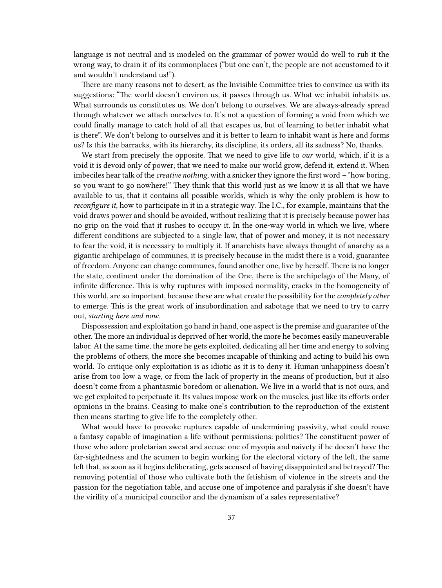language is not neutral and is modeled on the grammar of power would do well to rub it the wrong way, to drain it of its commonplaces ("but one can't, the people are not accustomed to it and wouldn't understand us!").

There are many reasons not to desert, as the Invisible Committee tries to convince us with its suggestions: "The world doesn't environ us, it passes through us. What we inhabit inhabits us. What surrounds us constitutes us. We don't belong to ourselves. We are always-already spread through whatever we attach ourselves to. It's not a question of forming a void from which we could finally manage to catch hold of all that escapes us, but of learning to better inhabit what is there". We don't belong to ourselves and it is better to learn to inhabit want is here and forms us? Is this the barracks, with its hierarchy, its discipline, its orders, all its sadness? No, thanks.

We start from precisely the opposite. That we need to give life to *our* world, which, if it is a void it is devoid only of power; that we need to make our world grow, defend it, extend it. When imbeciles hear talk of the *creative nothing*, with a snicker they ignore the first word *–* "how boring, so you want to go nowhere!" They think that this world just as we know it is all that we have available to us, that it contains all possible worlds, which is why the only problem is how to *reconfigure it*, how to participate in it in a strategic way. The I.C., for example, maintains that the void draws power and should be avoided, without realizing that it is precisely because power has no grip on the void that it rushes to occupy it. In the one-way world in which we live, where different conditions are subjected to a single law, that of power and money, it is not necessary to fear the void, it is necessary to multiply it. If anarchists have always thought of anarchy as a gigantic archipelago of communes, it is precisely because in the midst there is a void, guarantee of freedom. Anyone can change communes, found another one, live by herself. There is no longer the state, continent under the domination of the One, there is the archipelago of the Many, of infinite difference. This is why ruptures with imposed normality, cracks in the homogeneity of this world, are so important, because these are what create the possibility for the *completely other* to emerge. This is the great work of insubordination and sabotage that we need to try to carry out, *starting here and now*.

Dispossession and exploitation go hand in hand, one aspect is the premise and guarantee of the other. The more an individual is deprived of her world, the more he becomes easily maneuverable labor. At the same time, the more he gets exploited, dedicating all her time and energy to solving the problems of others, the more she becomes incapable of thinking and acting to build his own world. To critique only exploitation is as idiotic as it is to deny it. Human unhappiness doesn't arise from too low a wage, or from the lack of property in the means of production, but it also doesn't come from a phantasmic boredom or alienation. We live in a world that is not ours, and we get exploited to perpetuate it. Its values impose work on the muscles, just like its efforts order opinions in the brains. Ceasing to make one's contribution to the reproduction of the existent then means starting to give life to the completely other.

What would have to provoke ruptures capable of undermining passivity, what could rouse a fantasy capable of imagination a life without permissions: politics? The constituent power of those who adore proletarian sweat and accuse one of myopia and naivety if he doesn't have the far-sightedness and the acumen to begin working for the electoral victory of the left, the same left that, as soon as it begins deliberating, gets accused of having disappointed and betrayed? The removing potential of those who cultivate both the fetishism of violence in the streets and the passion for the negotiation table, and accuse one of impotence and paralysis if she doesn't have the virility of a municipal councilor and the dynamism of a sales representative?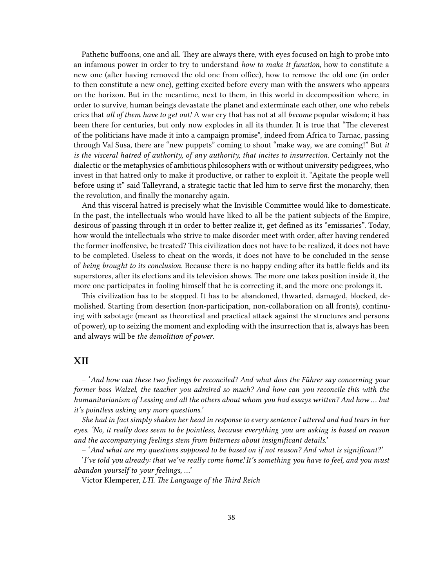Pathetic buffoons, one and all. They are always there, with eyes focused on high to probe into an infamous power in order to try to understand *how to make it function*, how to constitute a new one (after having removed the old one from office), how to remove the old one (in order to then constitute a new one), getting excited before every man with the answers who appears on the horizon. But in the meantime, next to them, in this world in decomposition where, in order to survive, human beings devastate the planet and exterminate each other, one who rebels cries that *all of them have to get out!* A war cry that has not at all *become* popular wisdom; it has been there for centuries, but only now explodes in all its thunder. It is true that "The cleverest of the politicians have made it into a campaign promise", indeed from Africa to Tarnac, passing through Val Susa, there are "new puppets" coming to shout "make way, we are coming!" But *it is the visceral hatred of authority, of any authority, that incites to insurrection*. Certainly not the dialectic or the metaphysics of ambitious philosophers with or without university pedigrees, who invest in that hatred only to make it productive, or rather to exploit it. "Agitate the people well before using it" said Talleyrand, a strategic tactic that led him to serve first the monarchy, then the revolution, and finally the monarchy again.

And this visceral hatred is precisely what the Invisible Committee would like to domesticate. In the past, the intellectuals who would have liked to all be the patient subjects of the Empire, desirous of passing through it in order to better realize it, get defined as its "emissaries". Today, how would the intellectuals who strive to make disorder meet with order, after having rendered the former inoffensive, be treated? This civilization does not have to be realized, it does not have to be completed. Useless to cheat on the words, it does not have to be concluded in the sense of *being brought to its conclusion.* Because there is no happy ending after its battle fields and its superstores, after its elections and its television shows. The more one takes position inside it, the more one participates in fooling himself that he is correcting it, and the more one prolongs it.

This civilization has to be stopped. It has to be abandoned, thwarted, damaged, blocked, demolished. Starting from desertion (non-participation, non-collaboration on all fronts), continuing with sabotage (meant as theoretical and practical attack against the structures and persons of power), up to seizing the moment and exploding with the insurrection that is, always has been and always will be *the demolition of power*.

## <span id="page-37-0"></span>**XII**

– '*And how can these two feelings be reconciled? And what does the Führer say concerning your former boss Walzel, the teacher you admired so much? And how can you reconcile this with the humanitarianism of Lessing and all the others about whom you had essays written? And how … but it's pointless asking any more questions.'*

*She had in fact simply shaken her head in response to every sentence I uttered and had tears in her eyes. 'No, it really does seem to be pointless, because everything you are asking is based on reason and the accompanying feelings stem from bitterness about insignificant details.'*

– '*And what are my questions supposed to be based on if not reason? And what is significant?'*

'*I've told you already: that we've really come home! It's something you have to feel, and you must abandon yourself to your feelings, …'*

Victor Klemperer, *LTI. The Language of the Third Reich*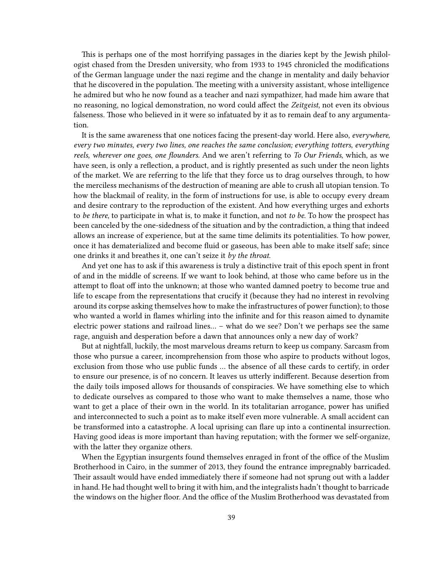This is perhaps one of the most horrifying passages in the diaries kept by the Jewish philologist chased from the Dresden university, who from 1933 to 1945 chronicled the modifications of the German language under the nazi regime and the change in mentality and daily behavior that he discovered in the population. The meeting with a university assistant, whose intelligence he admired but who he now found as a teacher and nazi sympathizer, had made him aware that no reasoning, no logical demonstration, no word could affect the *Zeitgeist*, not even its obvious falseness. Those who believed in it were so infatuated by it as to remain deaf to any argumentation.

It is the same awareness that one notices facing the present-day world. Here also, *everywhere, every two minutes, every two lines, one reaches the same conclusion; everything totters, everything reels, wherever one goes, one flounders.* And we aren't referring to *To Our Friends*, which, as we have seen, is only a reflection, a product, and is rightly presented as such under the neon lights of the market. We are referring to the life that they force us to drag ourselves through, to how the merciless mechanisms of the destruction of meaning are able to crush all utopian tension. To how the blackmail of reality, in the form of instructions for use, is able to occupy every dream and desire contrary to the reproduction of the existent. And how everything urges and exhorts to *be there*, to participate in what is, to make it function, and not *to be*. To how the prospect has been canceled by the one-sidedness of the situation and by the contradiction, a thing that indeed allows an increase of experience, but at the same time delimits its potentialities. To how power, once it has dematerialized and become fluid or gaseous, has been able to make itself safe; since one drinks it and breathes it, one can't seize it *by the throat*.

And yet one has to ask if this awareness is truly a distinctive trait of this epoch spent in front of and in the middle of screens. If we want to look behind, at those who came before us in the attempt to float off into the unknown; at those who wanted damned poetry to become true and life to escape from the representations that crucify it (because they had no interest in revolving around its corpse asking themselves how to make the infrastructures of power function); to those who wanted a world in flames whirling into the infinite and for this reason aimed to dynamite electric power stations and railroad lines… – what do we see? Don't we perhaps see the same rage, anguish and desperation before a dawn that announces only a new day of work?

But at nightfall, luckily, the most marvelous dreams return to keep us company. Sarcasm from those who pursue a career, incomprehension from those who aspire to products without logos, exclusion from those who use public funds … the absence of all these cards to certify, in order to ensure our presence, is of no concern. It leaves us utterly indifferent. Because desertion from the daily toils imposed allows for thousands of conspiracies. We have something else to which to dedicate ourselves as compared to those who want to make themselves a name, those who want to get a place of their own in the world. In its totalitarian arrogance, power has unified and interconnected to such a point as to make itself even more vulnerable. A small accident can be transformed into a catastrophe. A local uprising can flare up into a continental insurrection. Having good ideas is more important than having reputation; with the former we self-organize, with the latter they organize others.

When the Egyptian insurgents found themselves enraged in front of the office of the Muslim Brotherhood in Cairo, in the summer of 2013, they found the entrance impregnably barricaded. Their assault would have ended immediately there if someone had not sprung out with a ladder in hand. He had thought well to bring it with him, and the integralists hadn't thought to barricade the windows on the higher floor. And the office of the Muslim Brotherhood was devastated from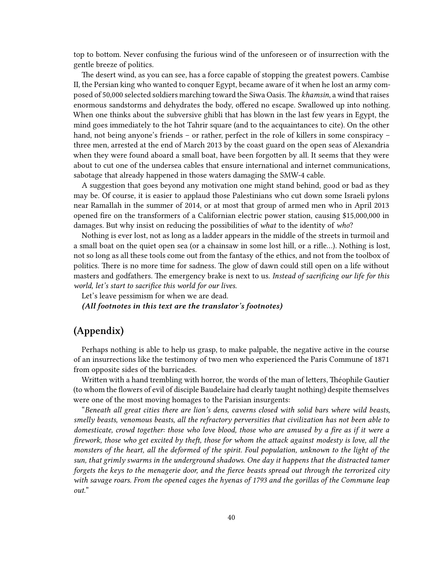top to bottom. Never confusing the furious wind of the unforeseen or of insurrection with the gentle breeze of politics.

The desert wind, as you can see, has a force capable of stopping the greatest powers. Cambise II, the Persian king who wanted to conquer Egypt, became aware of it when he lost an army composed of 50,000 selected soldiers marching toward the Siwa Oasis. The *khamsin*, a wind that raises enormous sandstorms and dehydrates the body, offered no escape. Swallowed up into nothing. When one thinks about the subversive ghibli that has blown in the last few years in Egypt, the mind goes immediately to the hot Tahrir square (and to the acquaintances to cite). On the other hand, not being anyone's friends – or rather, perfect in the role of killers in some conspiracy – three men, arrested at the end of March 2013 by the coast guard on the open seas of Alexandria when they were found aboard a small boat, have been forgotten by all. It seems that they were about to cut one of the undersea cables that ensure international and internet communications, sabotage that already happened in those waters damaging the SMW-4 cable.

A suggestion that goes beyond any motivation one might stand behind, good or bad as they may be. Of course, it is easier to applaud those Palestinians who cut down some Israeli pylons near Ramallah in the summer of 2014, or at most that group of armed men who in April 2013 opened fire on the transformers of a Californian electric power station, causing \$15,000,000 in damages. But why insist on reducing the possibilities of *what* to the identity of *who*?

Nothing is ever lost, not as long as a ladder appears in the middle of the streets in turmoil and a small boat on the quiet open sea (or a chainsaw in some lost hill, or a rifle…). Nothing is lost, not so long as all these tools come out from the fantasy of the ethics, and not from the toolbox of politics. There is no more time for sadness. The glow of dawn could still open on a life without masters and godfathers. The emergency brake is next to us. *Instead of sacrificing our life for this world, let's start to sacrifice this world for our lives.*

Let's leave pessimism for when we are dead.

*(All footnotes in this text are the translator's footnotes)*

## <span id="page-39-0"></span>**(Appendix)**

Perhaps nothing is able to help us grasp, to make palpable, the negative active in the course of an insurrections like the testimony of two men who experienced the Paris Commune of 1871 from opposite sides of the barricades.

Written with a hand trembling with horror, the words of the man of letters, Théophile Gautier (to whom the flowers of evil of disciple Baudelaire had clearly taught nothing) despite themselves were one of the most moving homages to the Parisian insurgents:

"*Beneath all great cities there are lion's dens, caverns closed with solid bars where wild beasts, smelly beasts, venomous beasts, all the refractory perversities that civilization has not been able to domesticate, crowd together: those who love blood, those who are amused by a fire as if it were a firework, those who get excited by theft, those for whom the attack against modesty is love, all the monsters of the heart, all the deformed of the spirit. Foul population, unknown to the light of the sun, that grimly swarms in the underground shadows. One day it happens that the distracted tamer forgets the keys to the menagerie door, and the fierce beasts spread out through the terrorized city with savage roars. From the opened cages the hyenas of 1793 and the gorillas of the Commune leap out.*"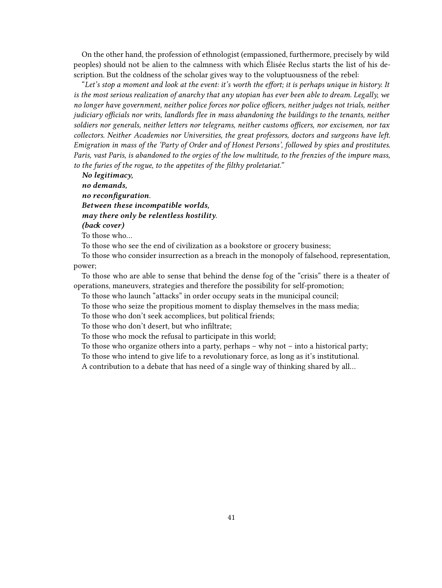On the other hand, the profession of ethnologist (empassioned, furthermore, precisely by wild peoples) should not be alien to the calmness with which Élisée Reclus starts the list of his description. But the coldness of the scholar gives way to the voluptuousness of the rebel:

"*Let's stop a moment and look at the event: it's worth the effort; it is perhaps unique in history. It is the most serious realization of anarchy that any utopian has ever been able to dream. Legally, we no longer have government, neither police forces nor police officers, neither judges not trials, neither judiciary officials nor writs, landlords flee in mass abandoning the buildings to the tenants, neither soldiers nor generals, neither letters nor telegrams, neither customs officers, nor excisemen, nor tax collectors. Neither Academies nor Universities, the great professors, doctors and surgeons have left*. *Emigration in mass of the 'Party of Order and of Honest Persons', followed by spies and prostitutes. Paris, vast Paris, is abandoned to the orgies of the low multitude, to the frenzies of the impure mass, to the furies of the rogue, to the appetites of the filthy proletariat."*

*No legitimacy,*

*no demands,*

*no reconfiguration.*

*Between these incompatible worlds, may there only be relentless hostility.*

*(back cover)*

To those who…

To those who see the end of civilization as a bookstore or grocery business;

To those who consider insurrection as a breach in the monopoly of falsehood, representation, power;

To those who are able to sense that behind the dense fog of the "crisis" there is a theater of operations, maneuvers, strategies and therefore the possibility for self-promotion;

To those who launch "attacks" in order occupy seats in the municipal council;

To those who seize the propitious moment to display themselves in the mass media;

To those who don't seek accomplices, but political friends;

To those who don't desert, but who infiltrate;

To those who mock the refusal to participate in this world;

To those who organize others into a party, perhaps – why not – into a historical party;

To those who intend to give life to a revolutionary force, as long as it's institutional.

A contribution to a debate that has need of a single way of thinking shared by all…